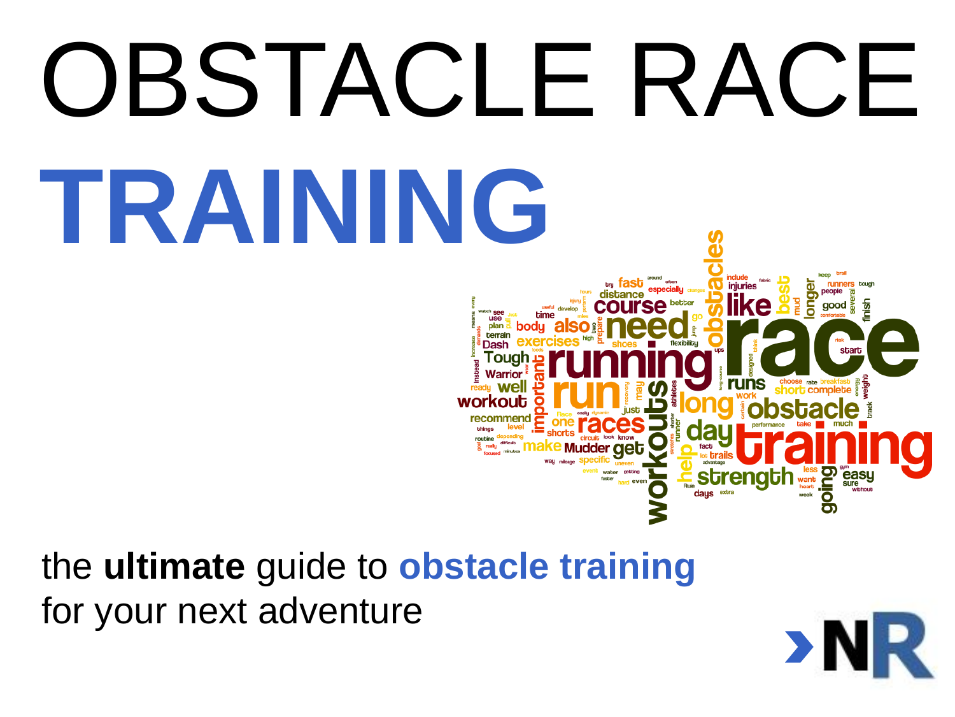

#### the **ultimate** guide to **obstacle training** for your next adventure

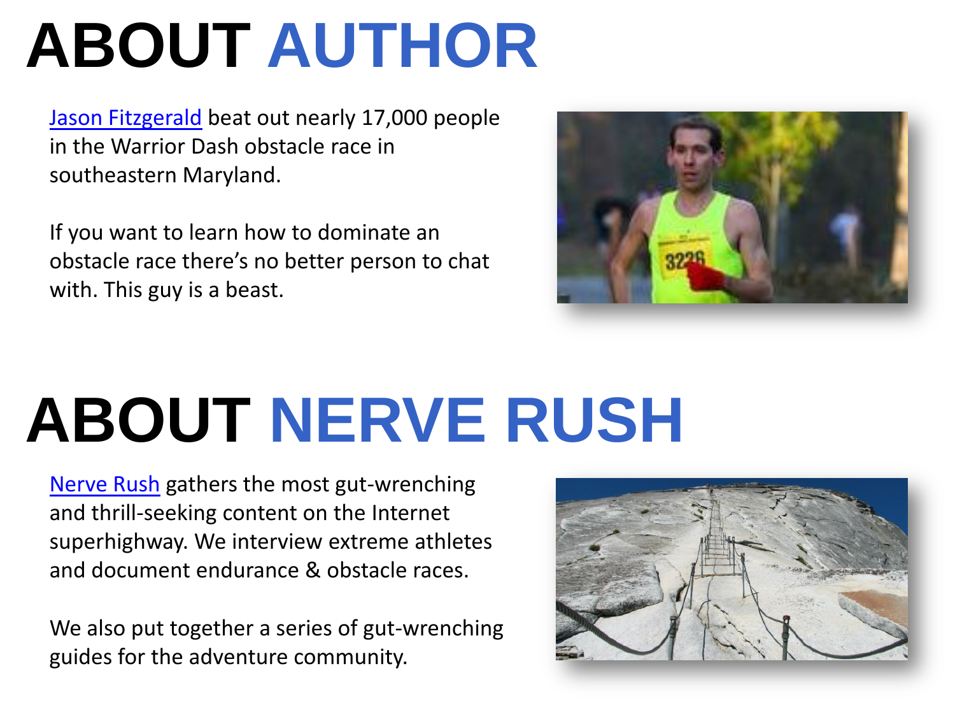# **ABOUT AUTHOR**

[Jason Fitzgerald](http://strengthrunning.com/) beat out nearly 17,000 people in the Warrior Dash obstacle race in southeastern Maryland.

If you want to learn how to dominate an obstacle race there's no better person to chat with. This guy is a beast.



# **ABOUT NERVE RUSH**

[Nerve Rush](http://www.nerverush.com/) gathers the most gut-wrenching and thrill-seeking content on the Internet superhighway. We interview extreme athletes and document endurance & obstacle races.

We also put together a series of gut-wrenching guides for the adventure community.

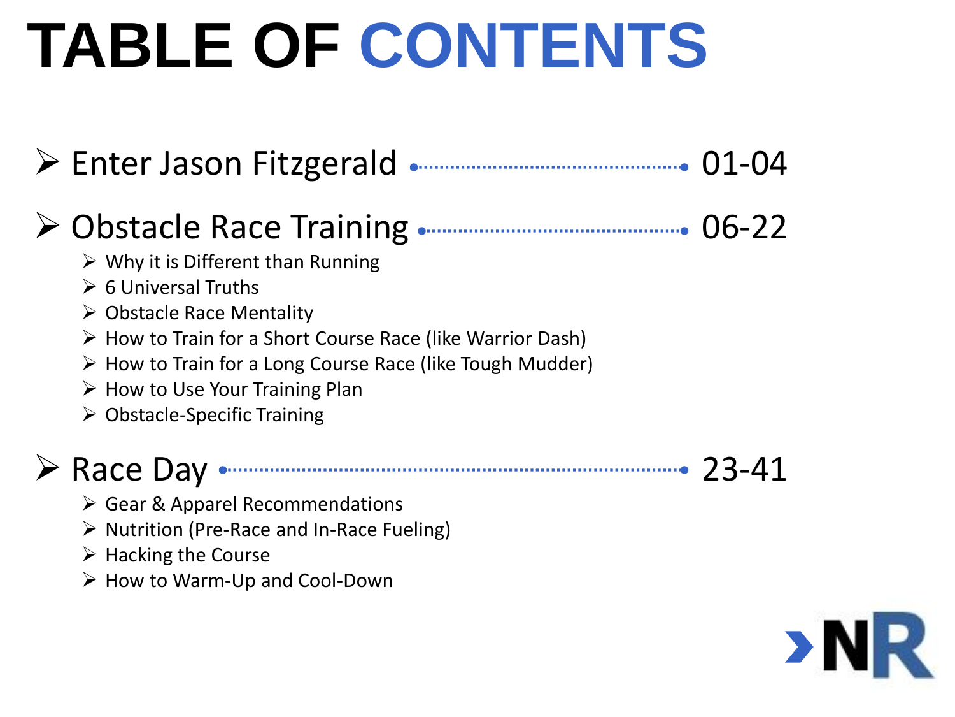# **TABLE OF CONTENTS**

| > Enter Jason Fitzgerald                                                                                                                                                                                                                                                                                                                                                                                                   | $01 - 04$ |
|----------------------------------------------------------------------------------------------------------------------------------------------------------------------------------------------------------------------------------------------------------------------------------------------------------------------------------------------------------------------------------------------------------------------------|-----------|
| > Obstacle Race Training<br>$\triangleright$ Why it is Different than Running<br>$\triangleright$ 6 Universal Truths<br>$\triangleright$ Obstacle Race Mentality<br>$\triangleright$ How to Train for a Short Course Race (like Warrior Dash)<br>$\triangleright$ How to Train for a Long Course Race (like Tough Mudder)<br>$\triangleright$ How to Use Your Training Plan<br>$\triangleright$ Obstacle-Specific Training | $06 - 22$ |
| Race Day                                                                                                                                                                                                                                                                                                                                                                                                                   |           |

- $\triangleright$  Gear & Apparel Recommendations
- $\triangleright$  Nutrition (Pre-Race and In-Race Fueling)
- $\triangleright$  Hacking the Course
- $\triangleright$  How to Warm-Up and Cool-Down

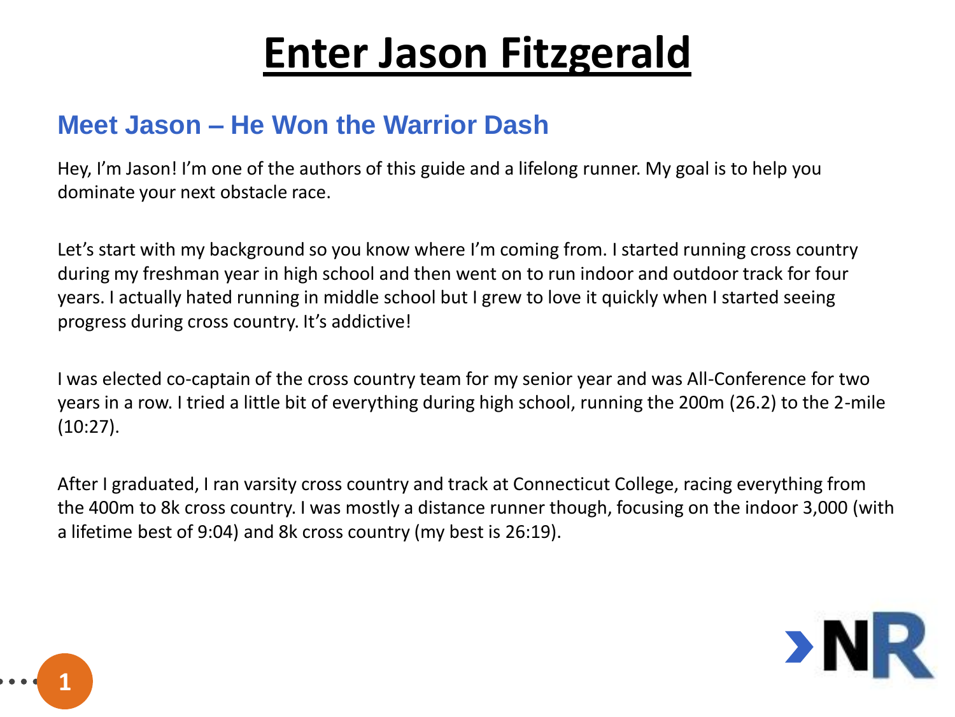#### **Meet Jason – He Won the Warrior Dash**

Hey, I'm Jason! I'm one of the authors of this guide and a lifelong runner. My goal is to help you dominate your next obstacle race.

Let's start with my background so you know where I'm coming from. I started running cross country during my freshman year in high school and then went on to run indoor and outdoor track for four years. I actually hated running in middle school but I grew to love it quickly when I started seeing progress during cross country. It's addictive!

I was elected co-captain of the cross country team for my senior year and was All-Conference for two years in a row. I tried a little bit of everything during high school, running the 200m (26.2) to the 2-mile (10:27).

After I graduated, I ran varsity cross country and track at Connecticut College, racing everything from the 400m to 8k cross country. I was mostly a distance runner though, focusing on the indoor 3,000 (with a lifetime best of 9:04) and 8k cross country (my best is 26:19).



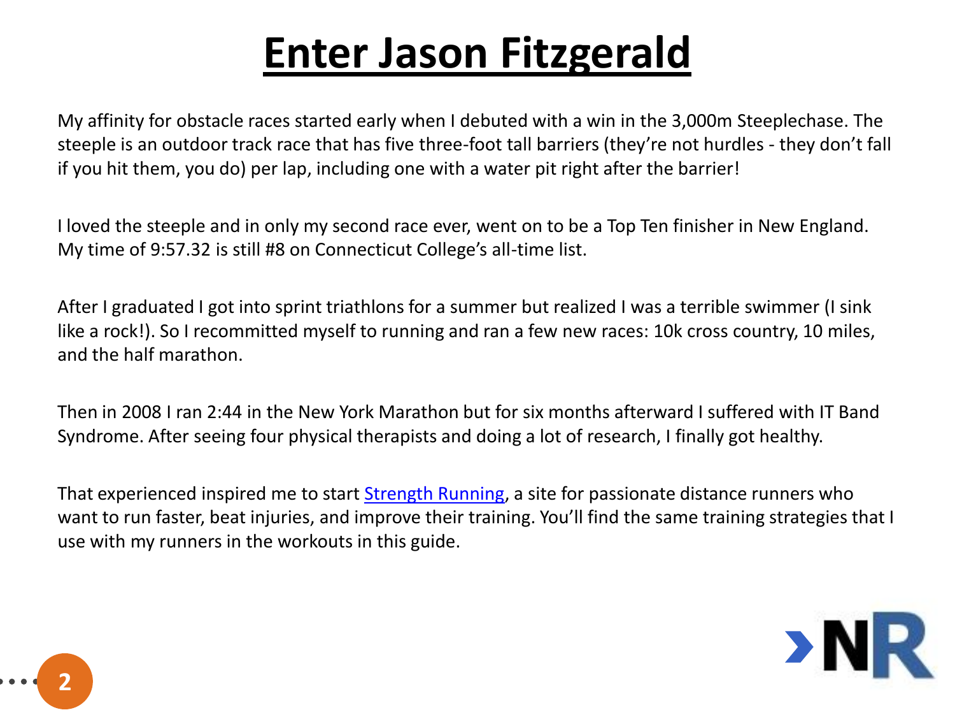My affinity for obstacle races started early when I debuted with a win in the 3,000m Steeplechase. The steeple is an outdoor track race that has five three-foot tall barriers (they're not hurdles - they don't fall if you hit them, you do) per lap, including one with a water pit right after the barrier!

I loved the steeple and in only my second race ever, went on to be a Top Ten finisher in New England. My time of 9:57.32 is still #8 on Connecticut College's all-time list.

After I graduated I got into sprint triathlons for a summer but realized I was a terrible swimmer (I sink like a rock!). So I recommitted myself to running and ran a few new races: 10k cross country, 10 miles, and the half marathon.

Then in 2008 I ran 2:44 in the New York Marathon but for six months afterward I suffered with IT Band Syndrome. After seeing four physical therapists and doing a lot of research, I finally got healthy.

That experienced inspired me to start [Strength Running,](http://www.strengthrunning.com/) a site for passionate distance runners who want to run faster, beat injuries, and improve their training. You'll find the same training strategies that I use with my runners in the workouts in this guide.



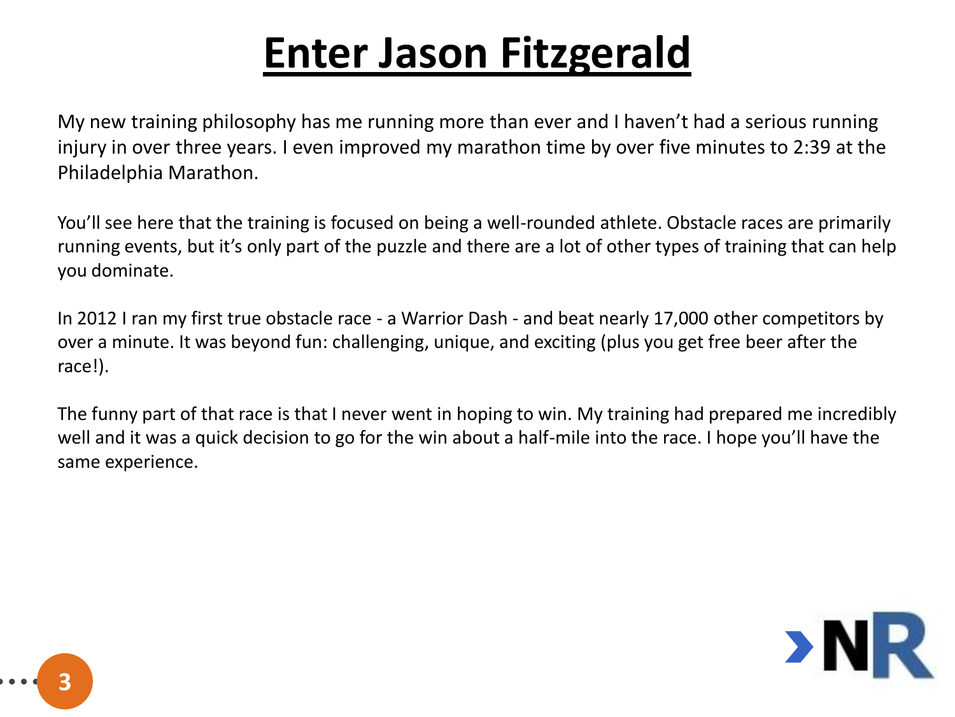My new training philosophy has me running more than ever and I haven't had a serious running injury in over three years. I even improved my marathon time by over five minutes to 2:39 at the Philadelphia Marathon.

You'll see here that the training is focused on being a well-rounded athlete. Obstacle races are primarily running events, but it's only part of the puzzle and there are a lot of other types of training that can help you dominate.

In 2012 I ran my first true obstacle race - a Warrior Dash - and beat nearly 17,000 other competitors by over a minute. It was beyond fun: challenging, unique, and exciting (plus you get free beer after the race!).

The funny part of that race is that I never went in hoping to win. My training had prepared me incredibly well and it was a quick decision to go for the win about a half-mile into the race. I hope you'll have the same experience.



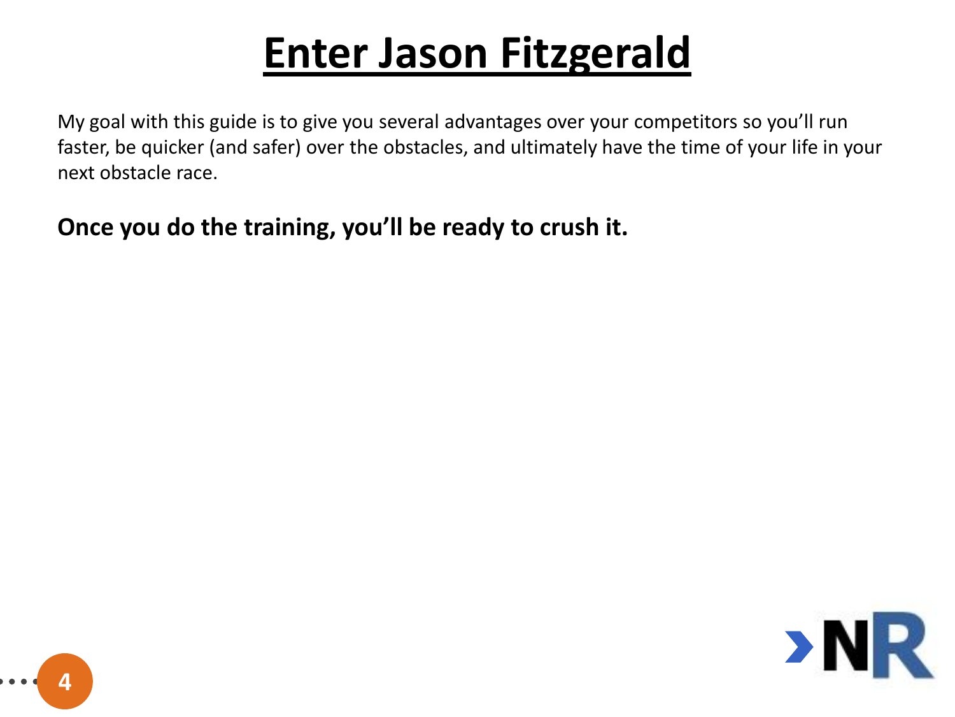My goal with this guide is to give you several advantages over your competitors so you'll run faster, be quicker (and safer) over the obstacles, and ultimately have the time of your life in your next obstacle race.

#### **Once you do the training, you'll be ready to crush it.**



**4**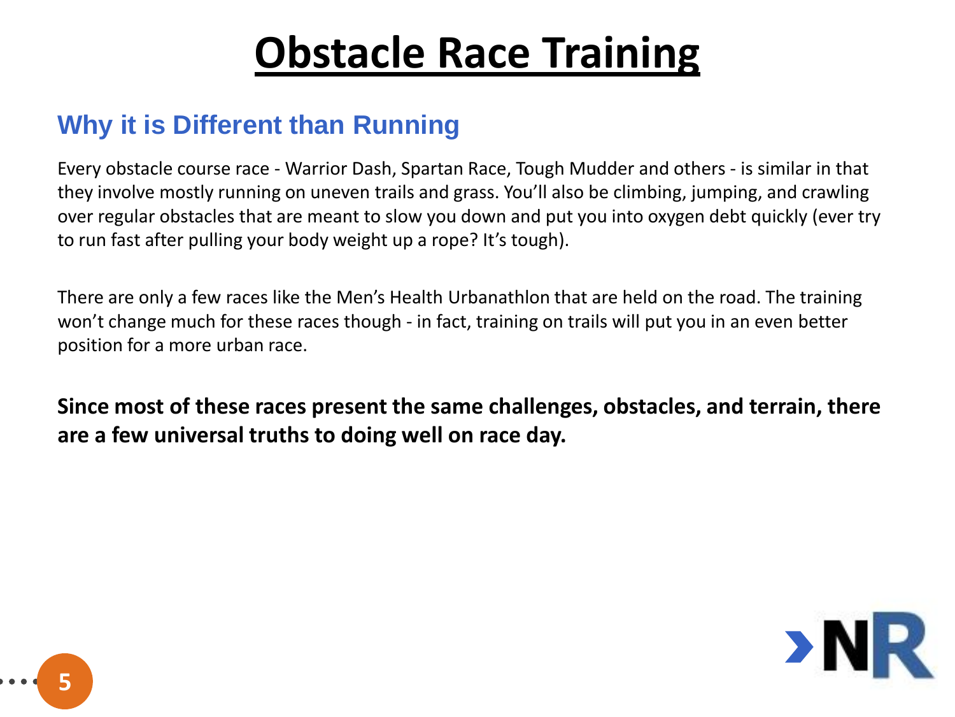#### **Why it is Different than Running**

Every obstacle course race - Warrior Dash, Spartan Race, Tough Mudder and others - is similar in that they involve mostly running on uneven trails and grass. You'll also be climbing, jumping, and crawling over regular obstacles that are meant to slow you down and put you into oxygen debt quickly (ever try to run fast after pulling your body weight up a rope? It's tough).

There are only a few races like the Men's Health Urbanathlon that are held on the road. The training won't change much for these races though - in fact, training on trails will put you in an even better position for a more urban race.

**Since most of these races present the same challenges, obstacles, and terrain, there are a few universal truths to doing well on race day.**



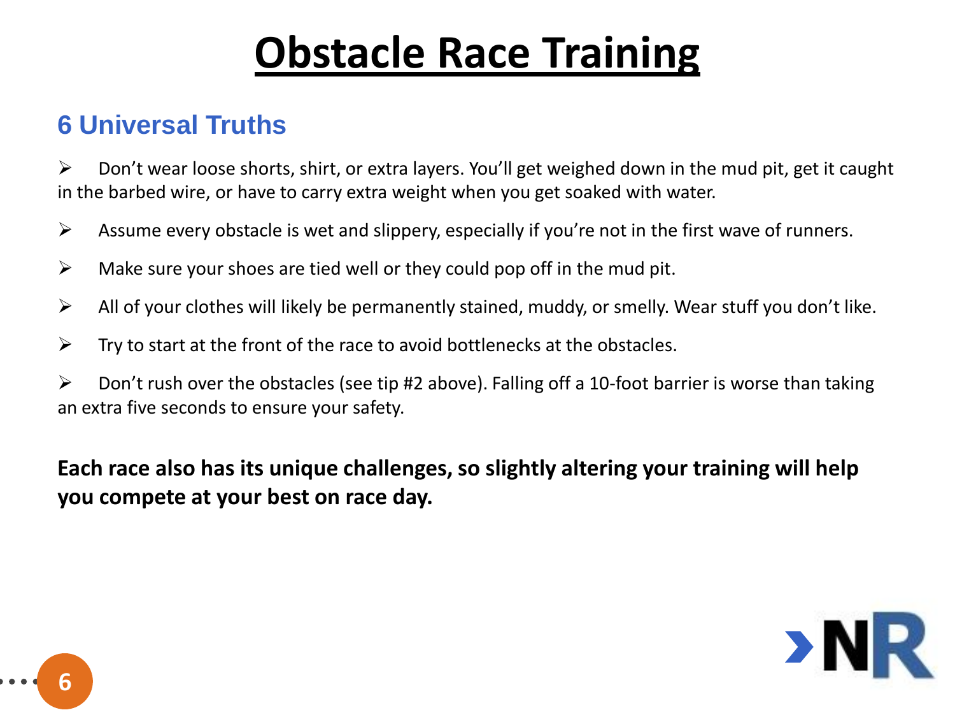#### **6 Universal Truths**

 $\triangleright$  Don't wear loose shorts, shirt, or extra layers. You'll get weighed down in the mud pit, get it caught in the barbed wire, or have to carry extra weight when you get soaked with water.

- $\triangleright$  Assume every obstacle is wet and slippery, especially if you're not in the first wave of runners.
- $\triangleright$  Make sure your shoes are tied well or they could pop off in the mud pit.
- $\triangleright$  All of your clothes will likely be permanently stained, muddy, or smelly. Wear stuff you don't like.
- $\triangleright$  Try to start at the front of the race to avoid bottlenecks at the obstacles.
- $\triangleright$  Don't rush over the obstacles (see tip #2 above). Falling off a 10-foot barrier is worse than taking an extra five seconds to ensure your safety.

**Each race also has its unique challenges, so slightly altering your training will help you compete at your best on race day.**



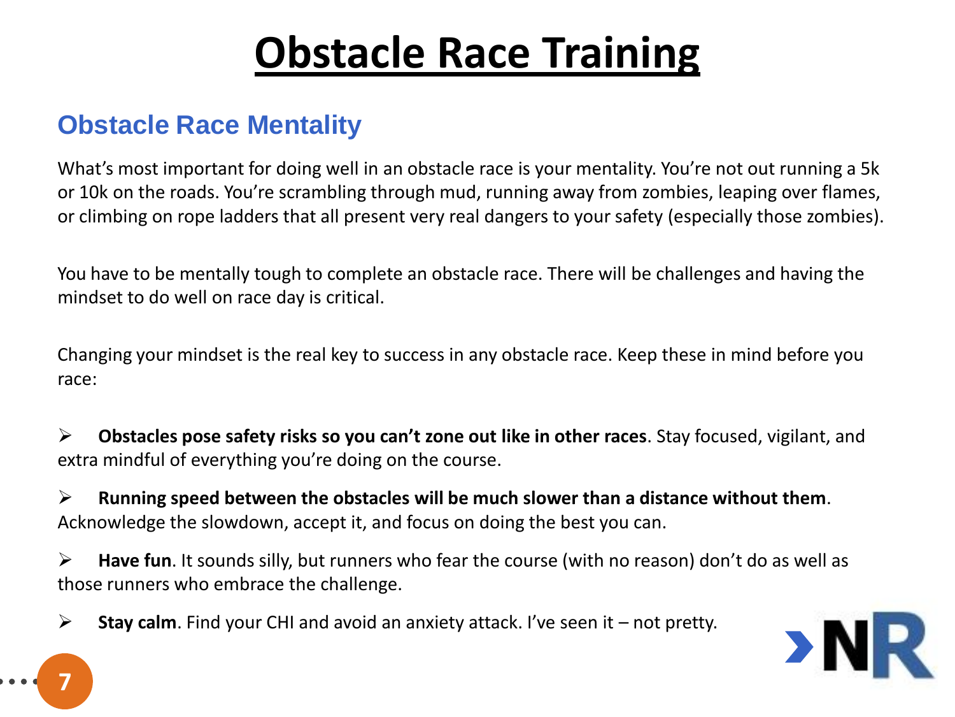#### **Obstacle Race Mentality**

What's most important for doing well in an obstacle race is your mentality. You're not out running a 5k or 10k on the roads. You're scrambling through mud, running away from zombies, leaping over flames, or climbing on rope ladders that all present very real dangers to your safety (especially those zombies).

You have to be mentally tough to complete an obstacle race. There will be challenges and having the mindset to do well on race day is critical.

Changing your mindset is the real key to success in any obstacle race. Keep these in mind before you race:

 **Obstacles pose safety risks so you can't zone out like in other races**. Stay focused, vigilant, and extra mindful of everything you're doing on the course.

 **Running speed between the obstacles will be much slower than a distance without them**. Acknowledge the slowdown, accept it, and focus on doing the best you can.

 **Have fun**. It sounds silly, but runners who fear the course (with no reason) don't do as well as those runners who embrace the challenge.

**Stay calm**. Find your CHI and avoid an anxiety attack. I've seen it – not pretty.



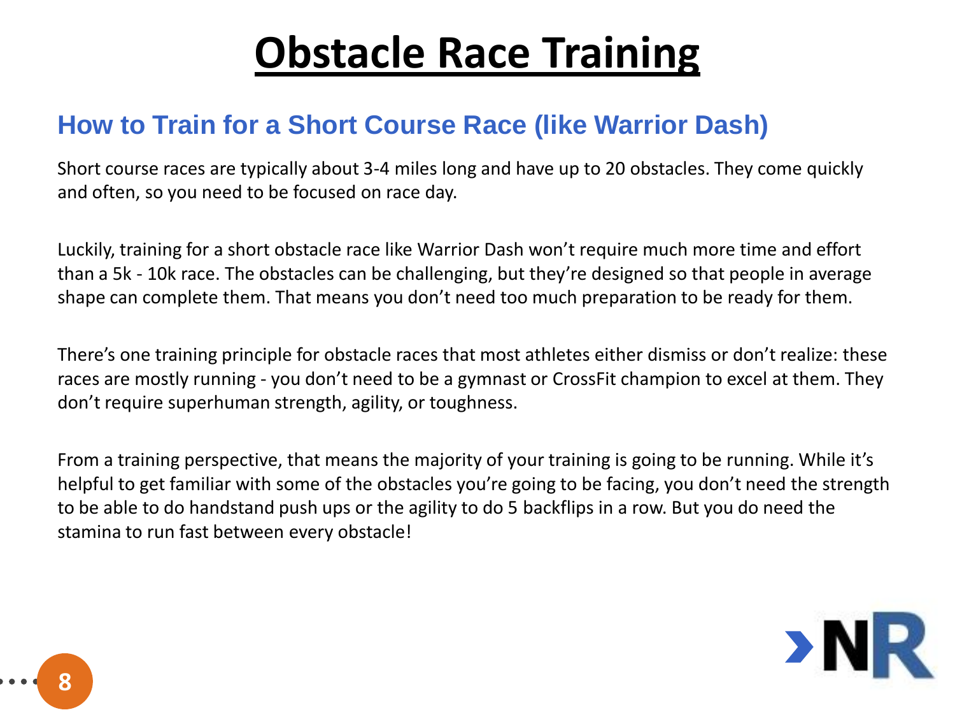#### **How to Train for a Short Course Race (like Warrior Dash)**

Short course races are typically about 3-4 miles long and have up to 20 obstacles. They come quickly and often, so you need to be focused on race day.

Luckily, training for a short obstacle race like Warrior Dash won't require much more time and effort than a 5k - 10k race. The obstacles can be challenging, but they're designed so that people in average shape can complete them. That means you don't need too much preparation to be ready for them.

There's one training principle for obstacle races that most athletes either dismiss or don't realize: these races are mostly running - you don't need to be a gymnast or CrossFit champion to excel at them. They don't require superhuman strength, agility, or toughness.

From a training perspective, that means the majority of your training is going to be running. While it's helpful to get familiar with some of the obstacles you're going to be facing, you don't need the strength to be able to do handstand push ups or the agility to do 5 backflips in a row. But you do need the stamina to run fast between every obstacle!



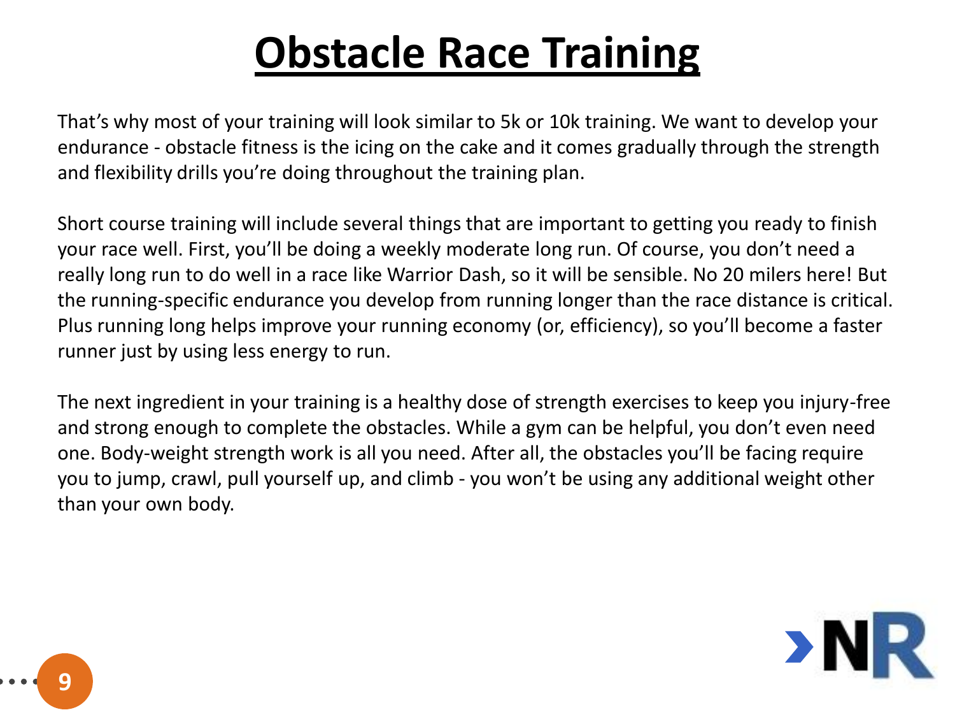That's why most of your training will look similar to 5k or 10k training. We want to develop your endurance - obstacle fitness is the icing on the cake and it comes gradually through the strength and flexibility drills you're doing throughout the training plan.

Short course training will include several things that are important to getting you ready to finish your race well. First, you'll be doing a weekly moderate long run. Of course, you don't need a really long run to do well in a race like Warrior Dash, so it will be sensible. No 20 milers here! But the running-specific endurance you develop from running longer than the race distance is critical. Plus running long helps improve your running economy (or, efficiency), so you'll become a faster runner just by using less energy to run.

The next ingredient in your training is a healthy dose of strength exercises to keep you injury-free and strong enough to complete the obstacles. While a gym can be helpful, you don't even need one. Body-weight strength work is all you need. After all, the obstacles you'll be facing require you to jump, crawl, pull yourself up, and climb - you won't be using any additional weight other than your own body.

**9**

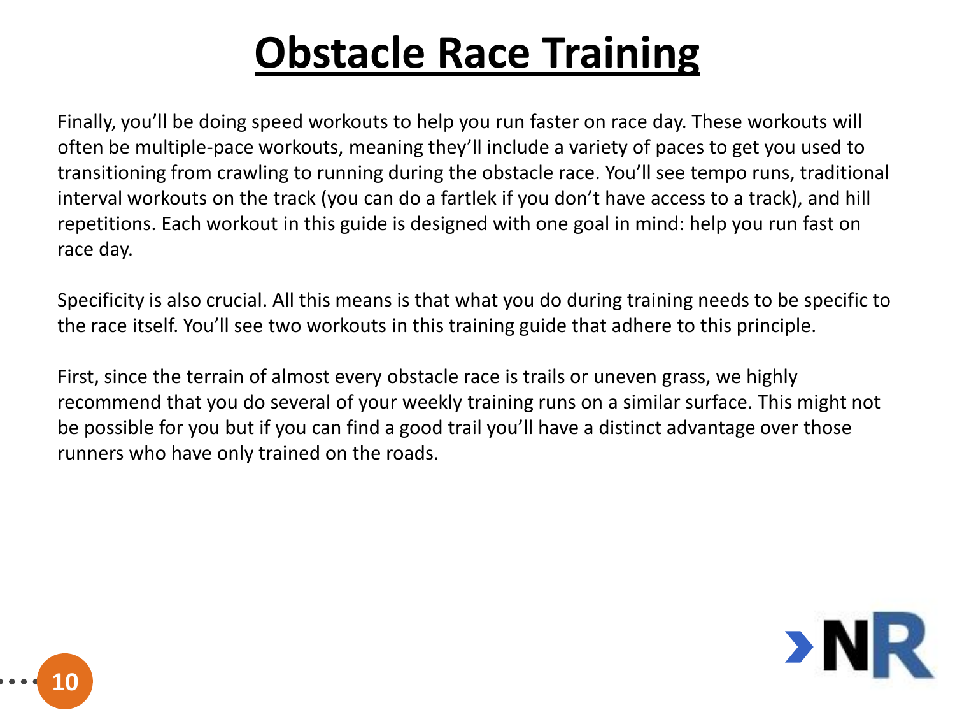Finally, you'll be doing speed workouts to help you run faster on race day. These workouts will often be multiple-pace workouts, meaning they'll include a variety of paces to get you used to transitioning from crawling to running during the obstacle race. You'll see tempo runs, traditional interval workouts on the track (you can do a fartlek if you don't have access to a track), and hill repetitions. Each workout in this guide is designed with one goal in mind: help you run fast on race day.

Specificity is also crucial. All this means is that what you do during training needs to be specific to the race itself. You'll see two workouts in this training guide that adhere to this principle.

First, since the terrain of almost every obstacle race is trails or uneven grass, we highly recommend that you do several of your weekly training runs on a similar surface. This might not be possible for you but if you can find a good trail you'll have a distinct advantage over those runners who have only trained on the roads.



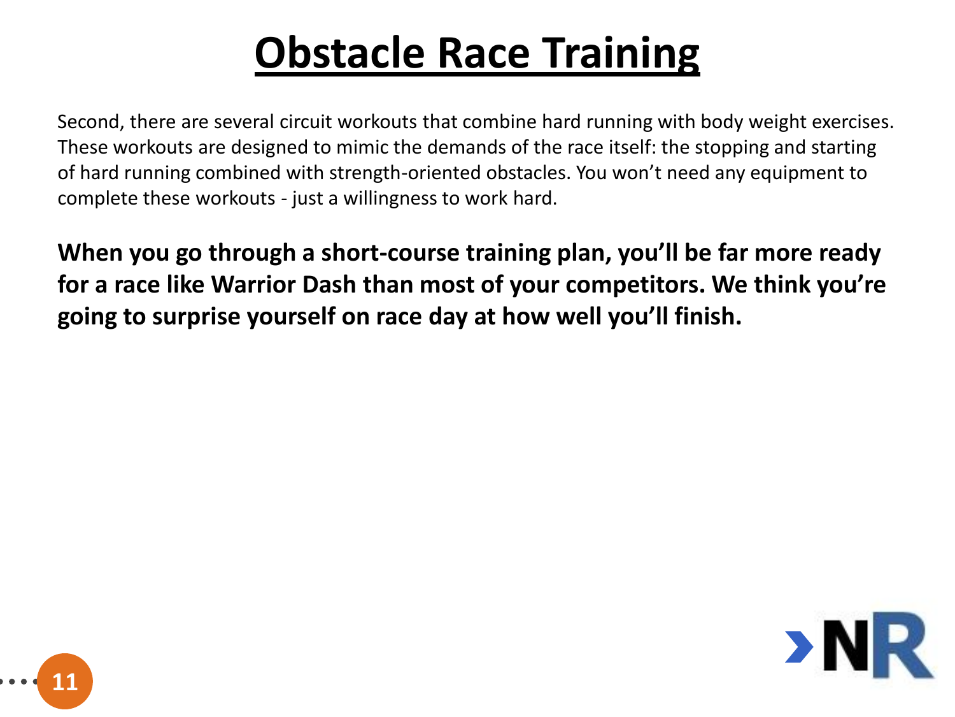Second, there are several circuit workouts that combine hard running with body weight exercises. These workouts are designed to mimic the demands of the race itself: the stopping and starting of hard running combined with strength-oriented obstacles. You won't need any equipment to complete these workouts - just a willingness to work hard.

**When you go through a short-course training plan, you'll be far more ready for a race like Warrior Dash than most of your competitors. We think you're going to surprise yourself on race day at how well you'll finish.**



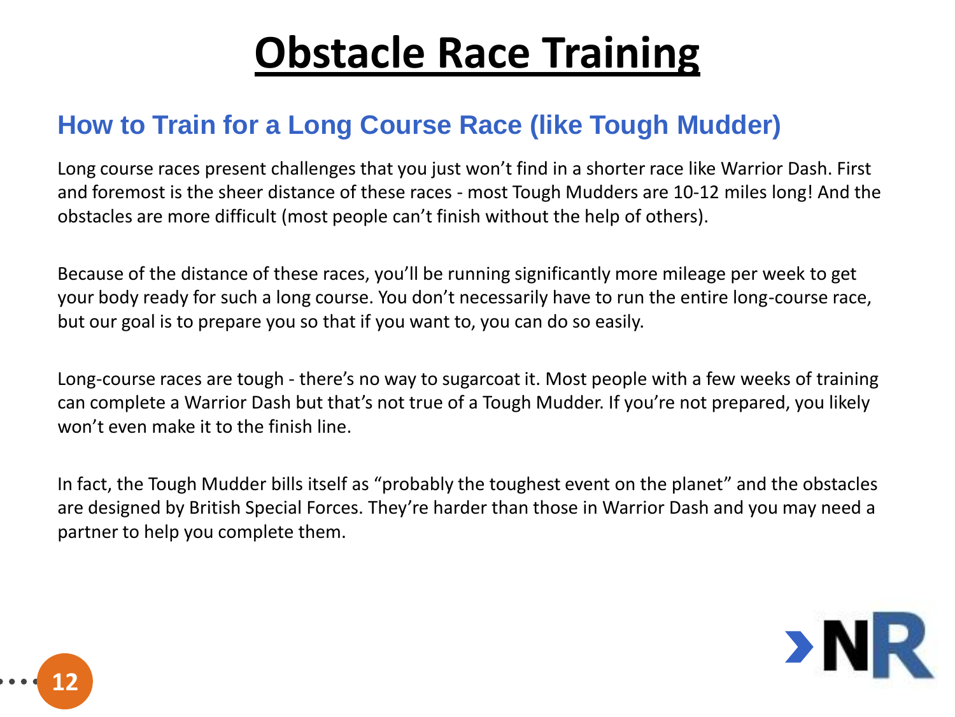#### **How to Train for a Long Course Race (like Tough Mudder)**

Long course races present challenges that you just won't find in a shorter race like Warrior Dash. First and foremost is the sheer distance of these races - most Tough Mudders are 10-12 miles long! And the obstacles are more difficult (most people can't finish without the help of others).

Because of the distance of these races, you'll be running significantly more mileage per week to get your body ready for such a long course. You don't necessarily have to run the entire long-course race, but our goal is to prepare you so that if you want to, you can do so easily.

Long-course races are tough - there's no way to sugarcoat it. Most people with a few weeks of training can complete a Warrior Dash but that's not true of a Tough Mudder. If you're not prepared, you likely won't even make it to the finish line.

In fact, the Tough Mudder bills itself as "probably the toughest event on the planet" and the obstacles are designed by British Special Forces. They're harder than those in Warrior Dash and you may need a partner to help you complete them.



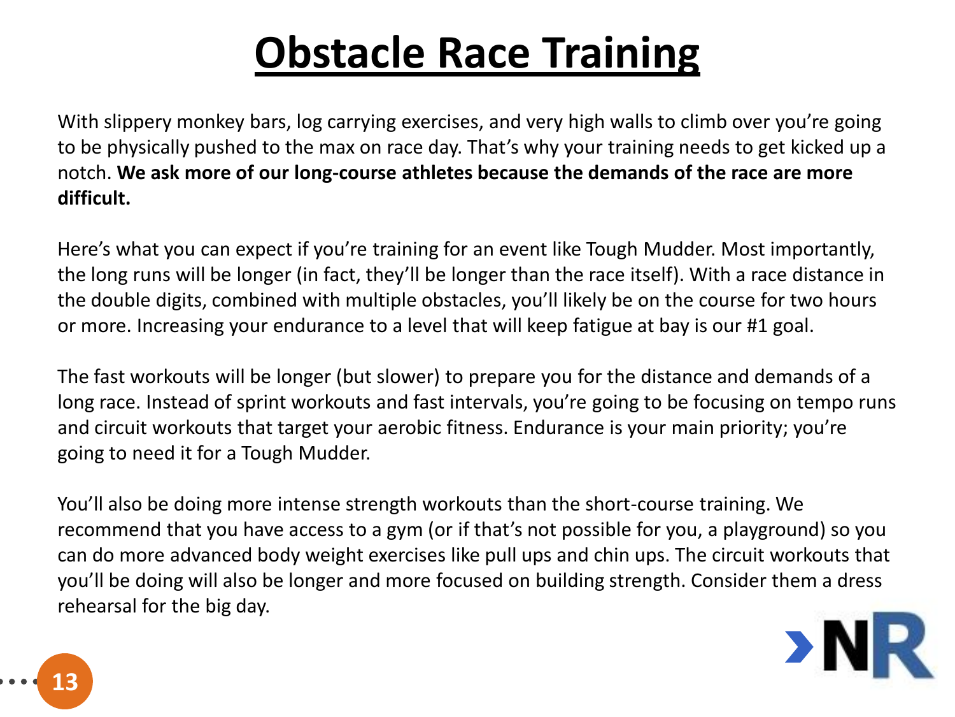With slippery monkey bars, log carrying exercises, and very high walls to climb over you're going to be physically pushed to the max on race day. That's why your training needs to get kicked up a notch. **We ask more of our long-course athletes because the demands of the race are more difficult.**

Here's what you can expect if you're training for an event like Tough Mudder. Most importantly, the long runs will be longer (in fact, they'll be longer than the race itself). With a race distance in the double digits, combined with multiple obstacles, you'll likely be on the course for two hours or more. Increasing your endurance to a level that will keep fatigue at bay is our #1 goal.

The fast workouts will be longer (but slower) to prepare you for the distance and demands of a long race. Instead of sprint workouts and fast intervals, you're going to be focusing on tempo runs and circuit workouts that target your aerobic fitness. Endurance is your main priority; you're going to need it for a Tough Mudder.

You'll also be doing more intense strength workouts than the short-course training. We recommend that you have access to a gym (or if that's not possible for you, a playground) so you can do more advanced body weight exercises like pull ups and chin ups. The circuit workouts that you'll be doing will also be longer and more focused on building strength. Consider them a dress rehearsal for the big day.



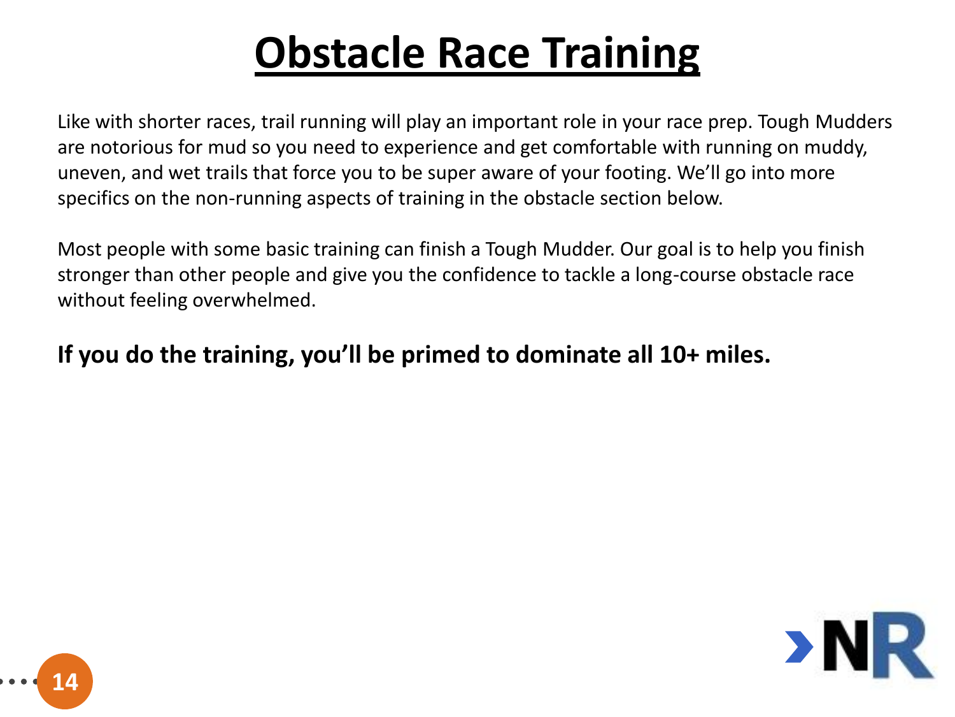Like with shorter races, trail running will play an important role in your race prep. Tough Mudders are notorious for mud so you need to experience and get comfortable with running on muddy, uneven, and wet trails that force you to be super aware of your footing. We'll go into more specifics on the non-running aspects of training in the obstacle section below.

Most people with some basic training can finish a Tough Mudder. Our goal is to help you finish stronger than other people and give you the confidence to tackle a long-course obstacle race without feeling overwhelmed.

#### **If you do the training, you'll be primed to dominate all 10+ miles.**



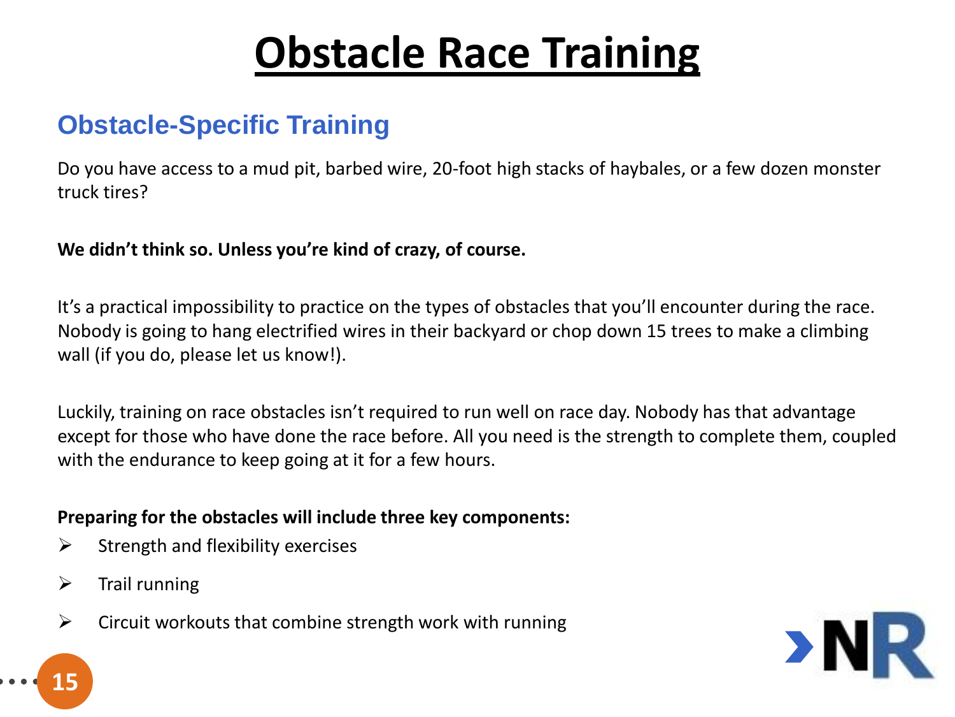#### **Obstacle-Specific Training**

Do you have access to a mud pit, barbed wire, 20-foot high stacks of haybales, or a few dozen monster truck tires?

**We didn't think so. Unless you're kind of crazy, of course.**

It's a practical impossibility to practice on the types of obstacles that you'll encounter during the race. Nobody is going to hang electrified wires in their backyard or chop down 15 trees to make a climbing wall (if you do, please let us know!).

Luckily, training on race obstacles isn't required to run well on race day. Nobody has that advantage except for those who have done the race before. All you need is the strength to complete them, coupled with the endurance to keep going at it for a few hours.

#### **Preparing for the obstacles will include three key components:**

- $\triangleright$  Strength and flexibility exercises
- $\triangleright$  Trail running

**15**

 $\triangleright$  Circuit workouts that combine strength work with running

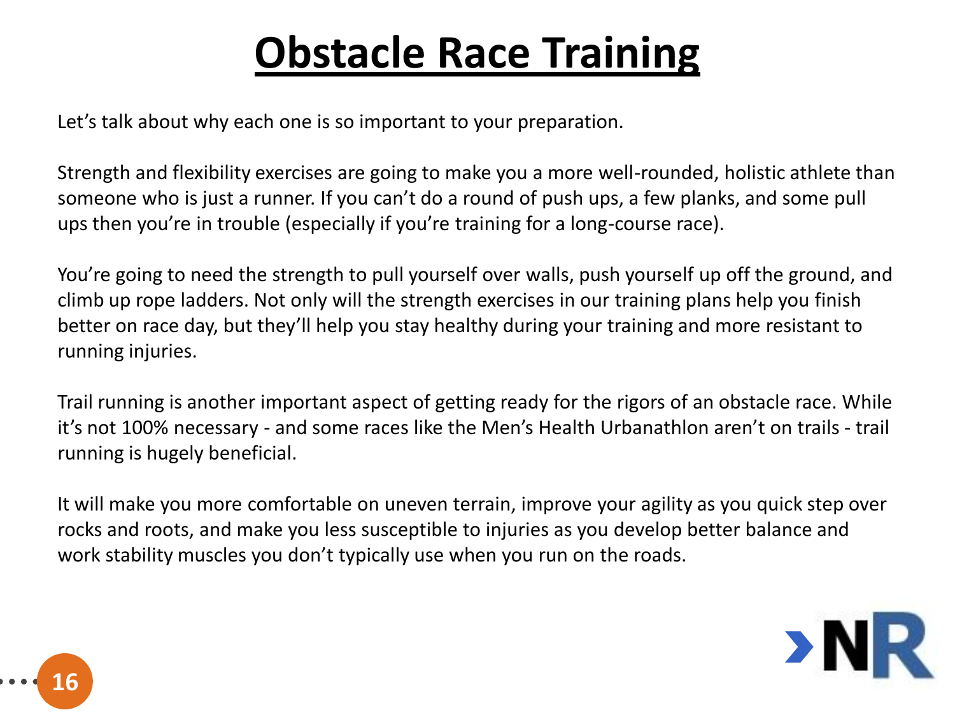Let's talk about why each one is so important to your preparation.

Strength and flexibility exercises are going to make you a more well-rounded, holistic athlete than someone who is just a runner. If you can't do a round of push ups, a few planks, and some pull ups then you're in trouble (especially if you're training for a long-course race).

You're going to need the strength to pull yourself over walls, push yourself up off the ground, and climb up rope ladders. Not only will the strength exercises in our training plans help you finish better on race day, but they'll help you stay healthy during your training and more resistant to running injuries.

Trail running is another important aspect of getting ready for the rigors of an obstacle race. While it's not 100% necessary - and some races like the Men's Health Urbanathlon aren't on trails - trail running is hugely beneficial.

It will make you more comfortable on uneven terrain, improve your agility as you quick step over rocks and roots, and make you less susceptible to injuries as you develop better balance and work stability muscles you don't typically use when you run on the roads.



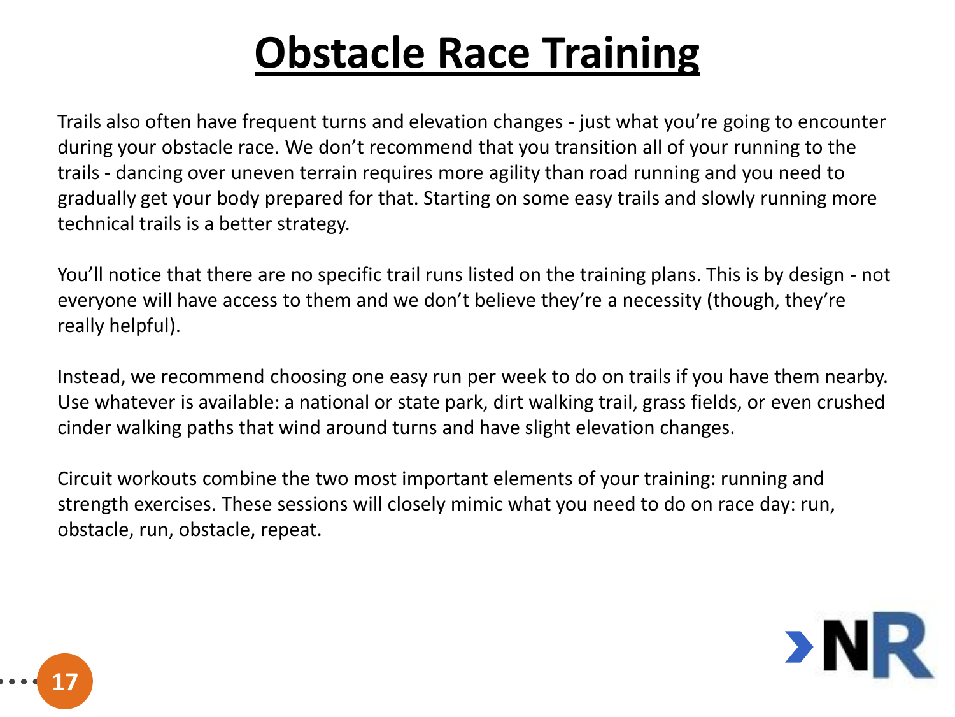Trails also often have frequent turns and elevation changes - just what you're going to encounter during your obstacle race. We don't recommend that you transition all of your running to the trails - dancing over uneven terrain requires more agility than road running and you need to gradually get your body prepared for that. Starting on some easy trails and slowly running more technical trails is a better strategy.

You'll notice that there are no specific trail runs listed on the training plans. This is by design - not everyone will have access to them and we don't believe they're a necessity (though, they're really helpful).

Instead, we recommend choosing one easy run per week to do on trails if you have them nearby. Use whatever is available: a national or state park, dirt walking trail, grass fields, or even crushed cinder walking paths that wind around turns and have slight elevation changes.

Circuit workouts combine the two most important elements of your training: running and strength exercises. These sessions will closely mimic what you need to do on race day: run, obstacle, run, obstacle, repeat.



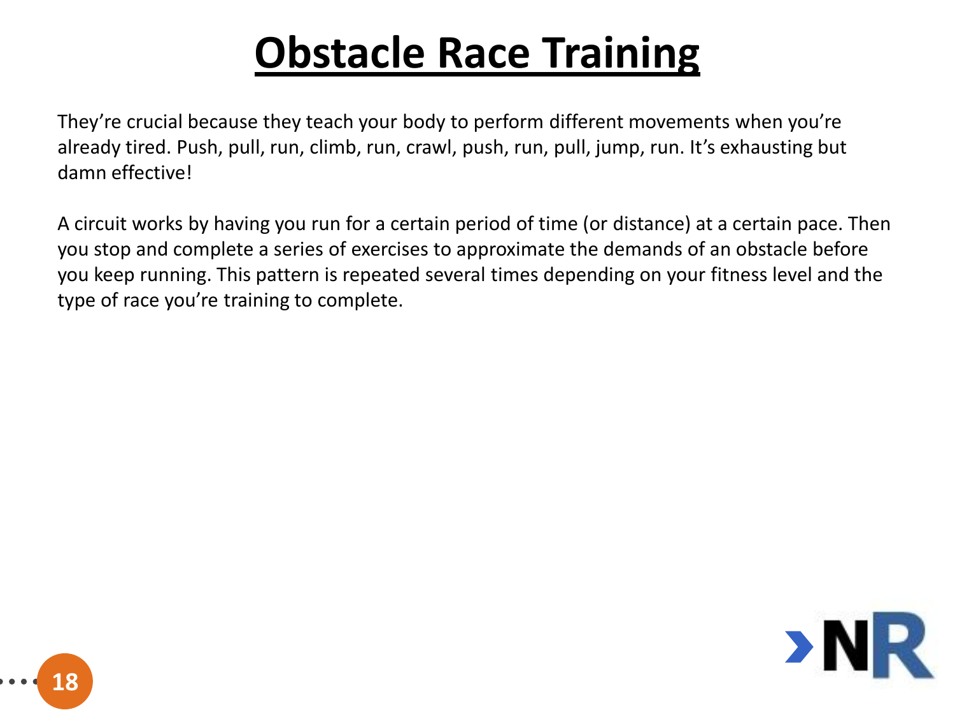They're crucial because they teach your body to perform different movements when you're already tired. Push, pull, run, climb, run, crawl, push, run, pull, jump, run. It's exhausting but damn effective!

A circuit works by having you run for a certain period of time (or distance) at a certain pace. Then you stop and complete a series of exercises to approximate the demands of an obstacle before you keep running. This pattern is repeated several times depending on your fitness level and the type of race you're training to complete.



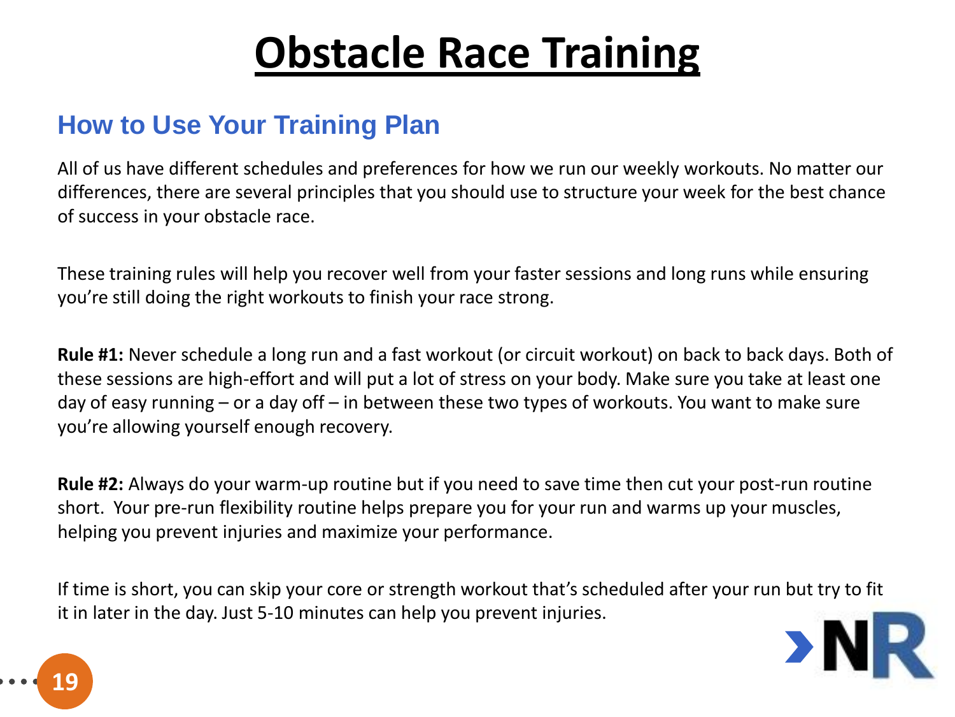#### **How to Use Your Training Plan**

All of us have different schedules and preferences for how we run our weekly workouts. No matter our differences, there are several principles that you should use to structure your week for the best chance of success in your obstacle race.

These training rules will help you recover well from your faster sessions and long runs while ensuring you're still doing the right workouts to finish your race strong.

**Rule #1:** Never schedule a long run and a fast workout (or circuit workout) on back to back days. Both of these sessions are high-effort and will put a lot of stress on your body. Make sure you take at least one day of easy running – or a day off – in between these two types of workouts. You want to make sure you're allowing yourself enough recovery.

**Rule #2:** Always do your warm-up routine but if you need to save time then cut your post-run routine short. Your pre-run flexibility routine helps prepare you for your run and warms up your muscles, helping you prevent injuries and maximize your performance.

If time is short, you can skip your core or strength workout that's scheduled after your run but try to fit it in later in the day. Just 5-10 minutes can help you prevent injuries.



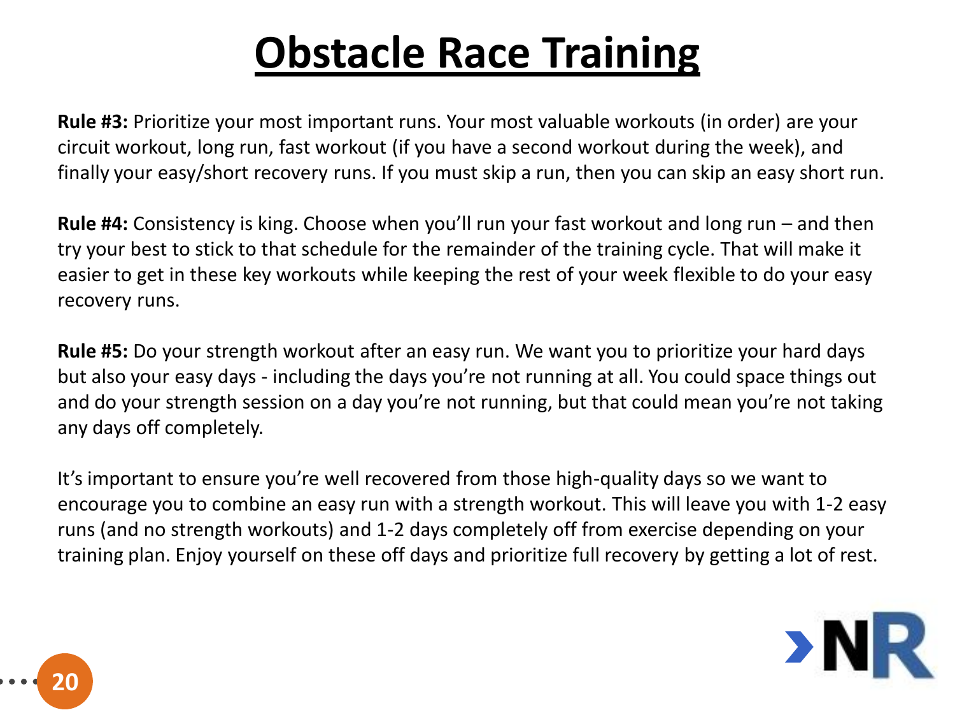**Rule #3:** Prioritize your most important runs. Your most valuable workouts (in order) are your circuit workout, long run, fast workout (if you have a second workout during the week), and finally your easy/short recovery runs. If you must skip a run, then you can skip an easy short run.

**Rule #4:** Consistency is king. Choose when you'll run your fast workout and long run – and then try your best to stick to that schedule for the remainder of the training cycle. That will make it easier to get in these key workouts while keeping the rest of your week flexible to do your easy recovery runs.

**Rule #5:** Do your strength workout after an easy run. We want you to prioritize your hard days but also your easy days - including the days you're not running at all. You could space things out and do your strength session on a day you're not running, but that could mean you're not taking any days off completely.

It's important to ensure you're well recovered from those high-quality days so we want to encourage you to combine an easy run with a strength workout. This will leave you with 1-2 easy runs (and no strength workouts) and 1-2 days completely off from exercise depending on your training plan. Enjoy yourself on these off days and prioritize full recovery by getting a lot of rest.



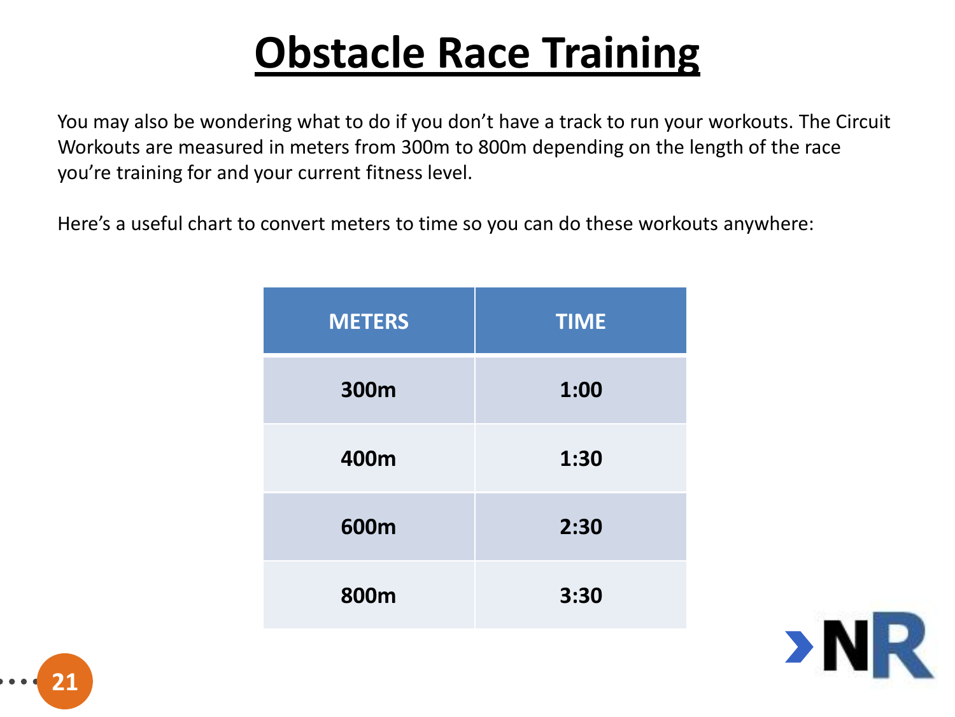You may also be wondering what to do if you don't have a track to run your workouts. The Circuit Workouts are measured in meters from 300m to 800m depending on the length of the race you're training for and your current fitness level.

Here's a useful chart to convert meters to time so you can do these workouts anywhere:

| <b>METERS</b> | <b>TIME</b> |
|---------------|-------------|
| 300m          | 1:00        |
| 400m          | 1:30        |
| 600m          | 2:30        |
| 800m          | 3:30        |



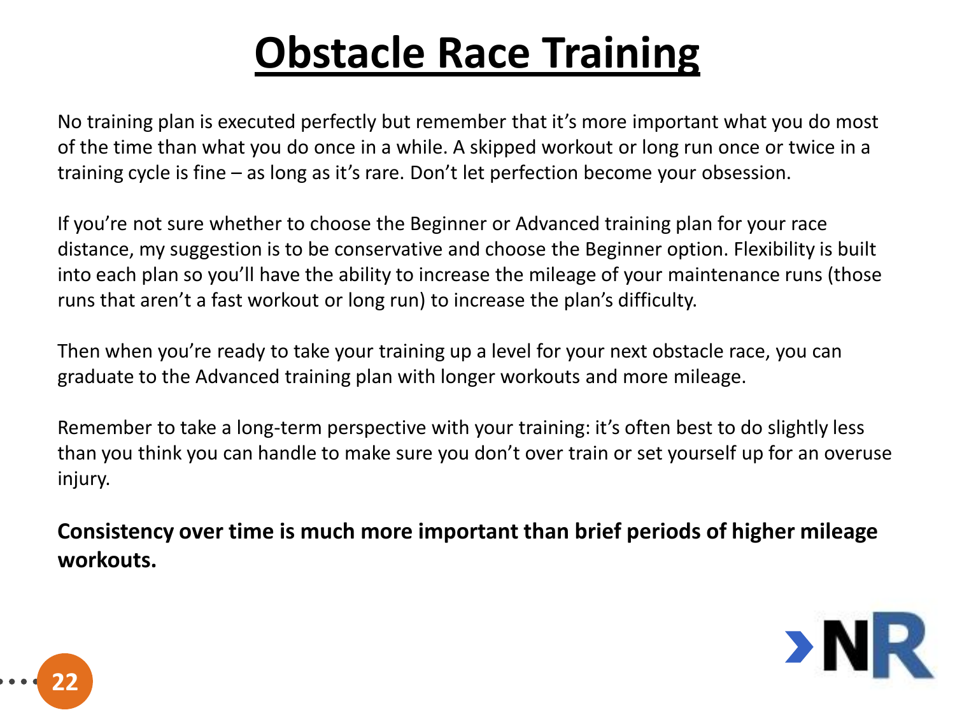No training plan is executed perfectly but remember that it's more important what you do most of the time than what you do once in a while. A skipped workout or long run once or twice in a training cycle is fine – as long as it's rare. Don't let perfection become your obsession.

If you're not sure whether to choose the Beginner or Advanced training plan for your race distance, my suggestion is to be conservative and choose the Beginner option. Flexibility is built into each plan so you'll have the ability to increase the mileage of your maintenance runs (those runs that aren't a fast workout or long run) to increase the plan's difficulty.

Then when you're ready to take your training up a level for your next obstacle race, you can graduate to the Advanced training plan with longer workouts and more mileage.

Remember to take a long-term perspective with your training: it's often best to do slightly less than you think you can handle to make sure you don't over train or set yourself up for an overuse injury.

**Consistency over time is much more important than brief periods of higher mileage workouts.**



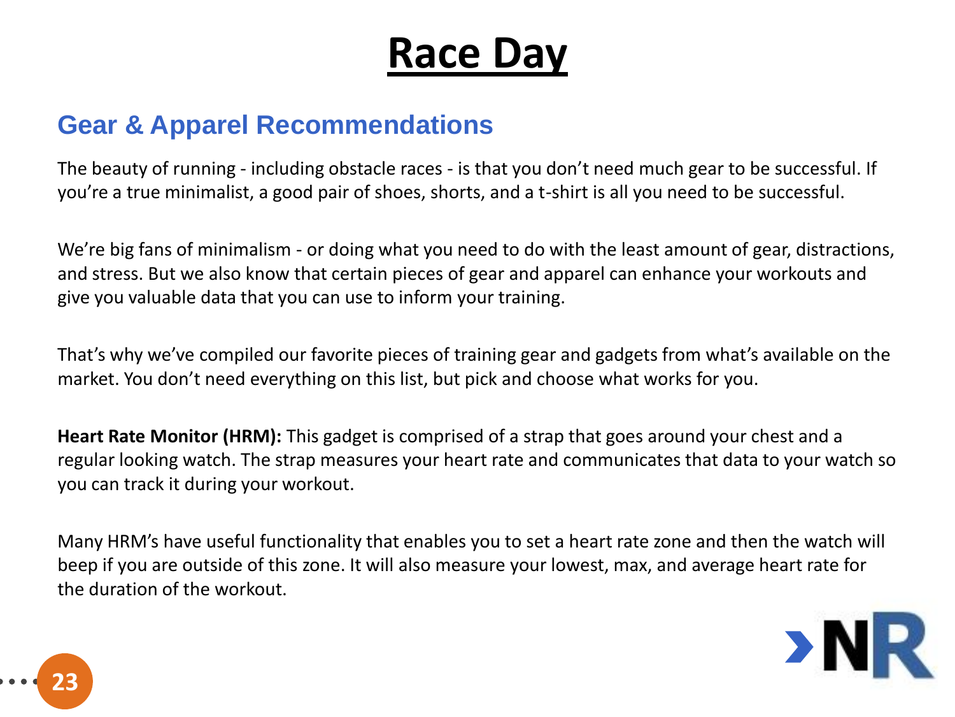#### **Gear & Apparel Recommendations**

The beauty of running - including obstacle races - is that you don't need much gear to be successful. If you're a true minimalist, a good pair of shoes, shorts, and a t-shirt is all you need to be successful.

We're big fans of minimalism - or doing what you need to do with the least amount of gear, distractions, and stress. But we also know that certain pieces of gear and apparel can enhance your workouts and give you valuable data that you can use to inform your training.

That's why we've compiled our favorite pieces of training gear and gadgets from what's available on the market. You don't need everything on this list, but pick and choose what works for you.

**Heart Rate Monitor (HRM):** This gadget is comprised of a strap that goes around your chest and a regular looking watch. The strap measures your heart rate and communicates that data to your watch so you can track it during your workout.

Many HRM's have useful functionality that enables you to set a heart rate zone and then the watch will beep if you are outside of this zone. It will also measure your lowest, max, and average heart rate for the duration of the workout.



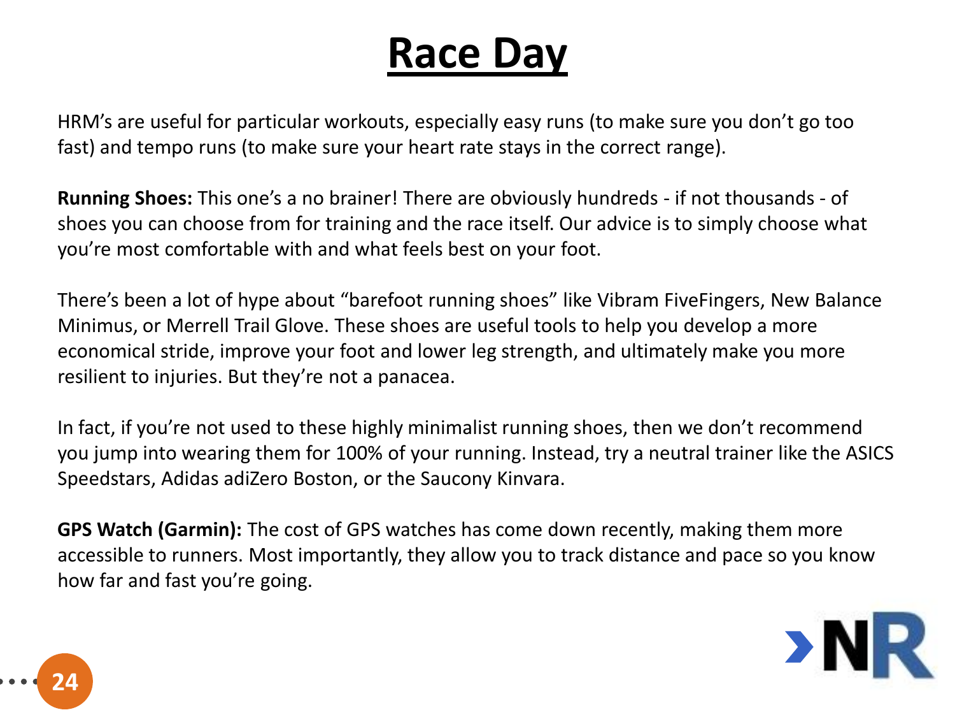HRM's are useful for particular workouts, especially easy runs (to make sure you don't go too fast) and tempo runs (to make sure your heart rate stays in the correct range).

**Running Shoes:** This one's a no brainer! There are obviously hundreds - if not thousands - of shoes you can choose from for training and the race itself. Our advice is to simply choose what you're most comfortable with and what feels best on your foot.

There's been a lot of hype about "barefoot running shoes" like Vibram FiveFingers, New Balance Minimus, or Merrell Trail Glove. These shoes are useful tools to help you develop a more economical stride, improve your foot and lower leg strength, and ultimately make you more resilient to injuries. But they're not a panacea.

In fact, if you're not used to these highly minimalist running shoes, then we don't recommend you jump into wearing them for 100% of your running. Instead, try a neutral trainer like the ASICS Speedstars, Adidas adiZero Boston, or the Saucony Kinvara.

**GPS Watch (Garmin):** The cost of GPS watches has come down recently, making them more accessible to runners. Most importantly, they allow you to track distance and pace so you know how far and fast you're going.

**24**

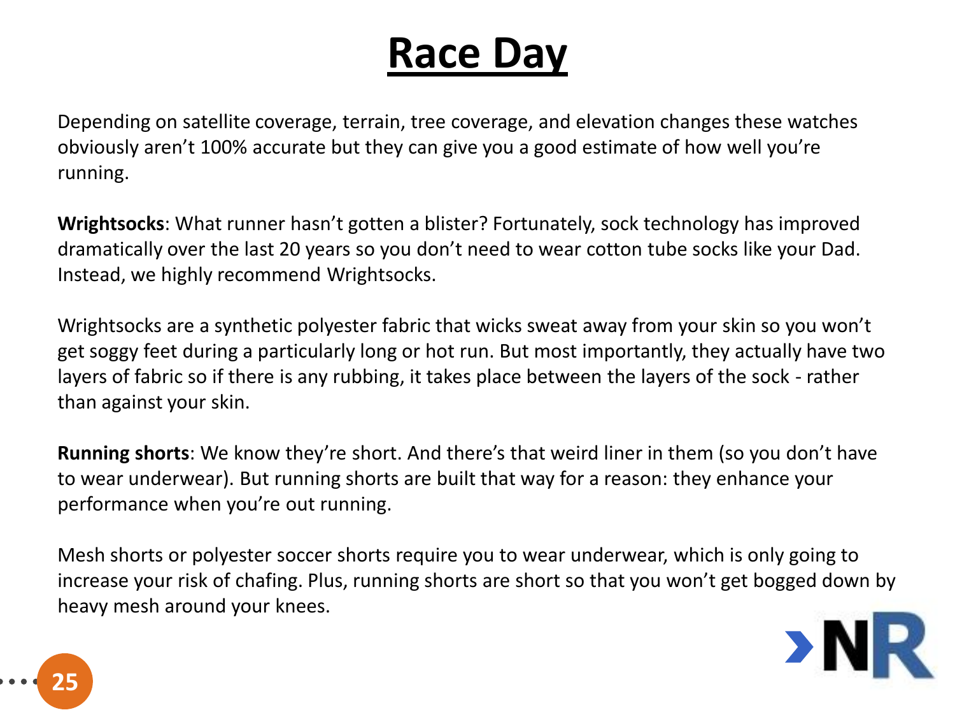Depending on satellite coverage, terrain, tree coverage, and elevation changes these watches obviously aren't 100% accurate but they can give you a good estimate of how well you're running.

**Wrightsocks**: What runner hasn't gotten a blister? Fortunately, sock technology has improved dramatically over the last 20 years so you don't need to wear cotton tube socks like your Dad. Instead, we highly recommend Wrightsocks.

Wrightsocks are a synthetic polyester fabric that wicks sweat away from your skin so you won't get soggy feet during a particularly long or hot run. But most importantly, they actually have two layers of fabric so if there is any rubbing, it takes place between the layers of the sock - rather than against your skin.

**Running shorts**: We know they're short. And there's that weird liner in them (so you don't have to wear underwear). But running shorts are built that way for a reason: they enhance your performance when you're out running.

Mesh shorts or polyester soccer shorts require you to wear underwear, which is only going to increase your risk of chafing. Plus, running shorts are short so that you won't get bogged down by heavy mesh around your knees.



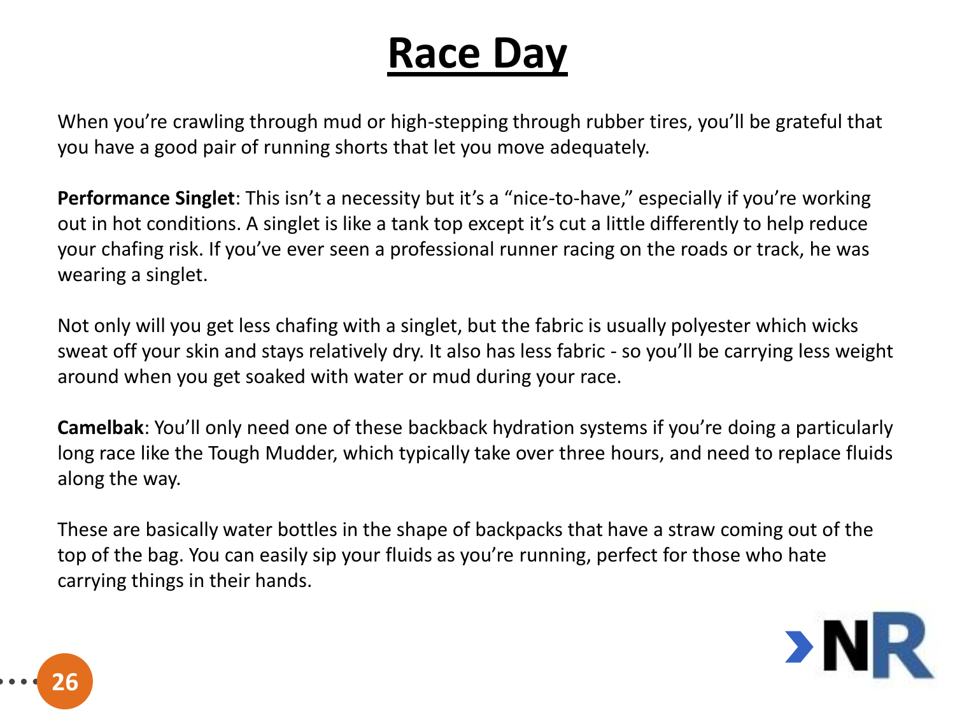When you're crawling through mud or high-stepping through rubber tires, you'll be grateful that you have a good pair of running shorts that let you move adequately.

**Performance Singlet**: This isn't a necessity but it's a "nice-to-have," especially if you're working out in hot conditions. A singlet is like a tank top except it's cut a little differently to help reduce your chafing risk. If you've ever seen a professional runner racing on the roads or track, he was wearing a singlet.

Not only will you get less chafing with a singlet, but the fabric is usually polyester which wicks sweat off your skin and stays relatively dry. It also has less fabric - so you'll be carrying less weight around when you get soaked with water or mud during your race.

**Camelbak**: You'll only need one of these backback hydration systems if you're doing a particularly long race like the Tough Mudder, which typically take over three hours, and need to replace fluids along the way.

These are basically water bottles in the shape of backpacks that have a straw coming out of the top of the bag. You can easily sip your fluids as you're running, perfect for those who hate carrying things in their hands.



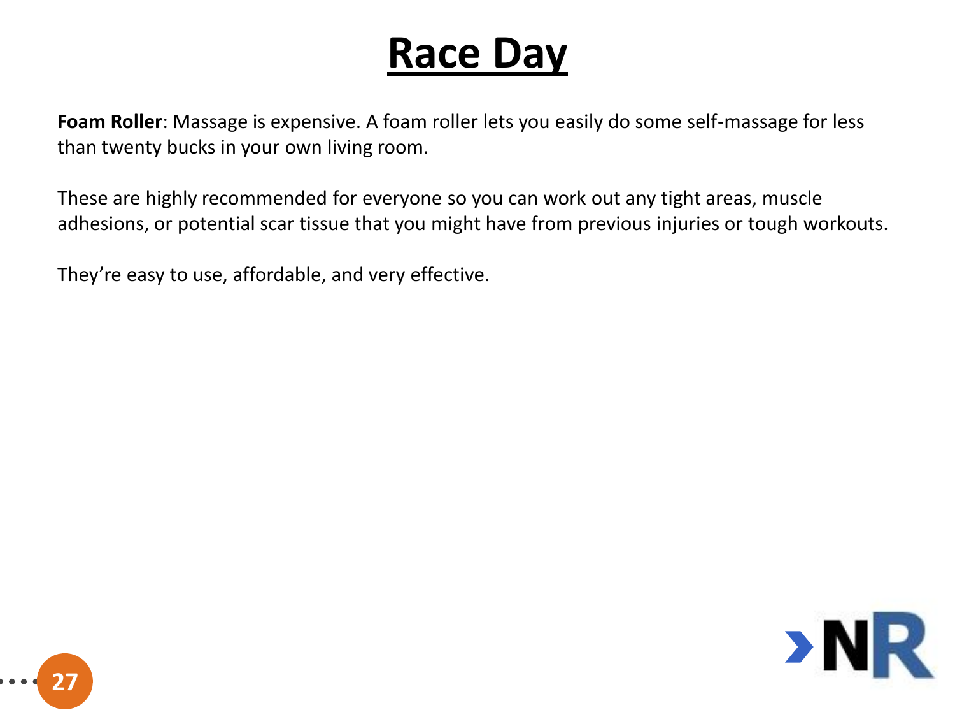**Foam Roller**: Massage is expensive. A foam roller lets you easily do some self-massage for less than twenty bucks in your own living room.

These are highly recommended for everyone so you can work out any tight areas, muscle adhesions, or potential scar tissue that you might have from previous injuries or tough workouts.

They're easy to use, affordable, and very effective.



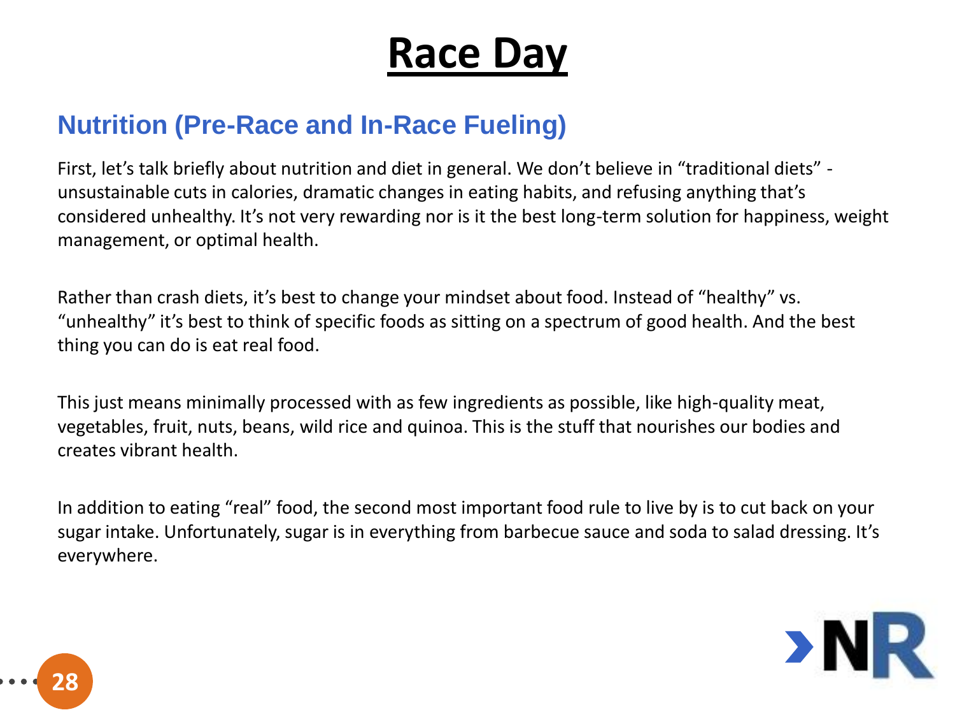#### **Nutrition (Pre-Race and In-Race Fueling)**

First, let's talk briefly about nutrition and diet in general. We don't believe in "traditional diets" unsustainable cuts in calories, dramatic changes in eating habits, and refusing anything that's considered unhealthy. It's not very rewarding nor is it the best long-term solution for happiness, weight management, or optimal health.

Rather than crash diets, it's best to change your mindset about food. Instead of "healthy" vs. "unhealthy" it's best to think of specific foods as sitting on a spectrum of good health. And the best thing you can do is eat real food.

This just means minimally processed with as few ingredients as possible, like high-quality meat, vegetables, fruit, nuts, beans, wild rice and quinoa. This is the stuff that nourishes our bodies and creates vibrant health.

In addition to eating "real" food, the second most important food rule to live by is to cut back on your sugar intake. Unfortunately, sugar is in everything from barbecue sauce and soda to salad dressing. It's everywhere.



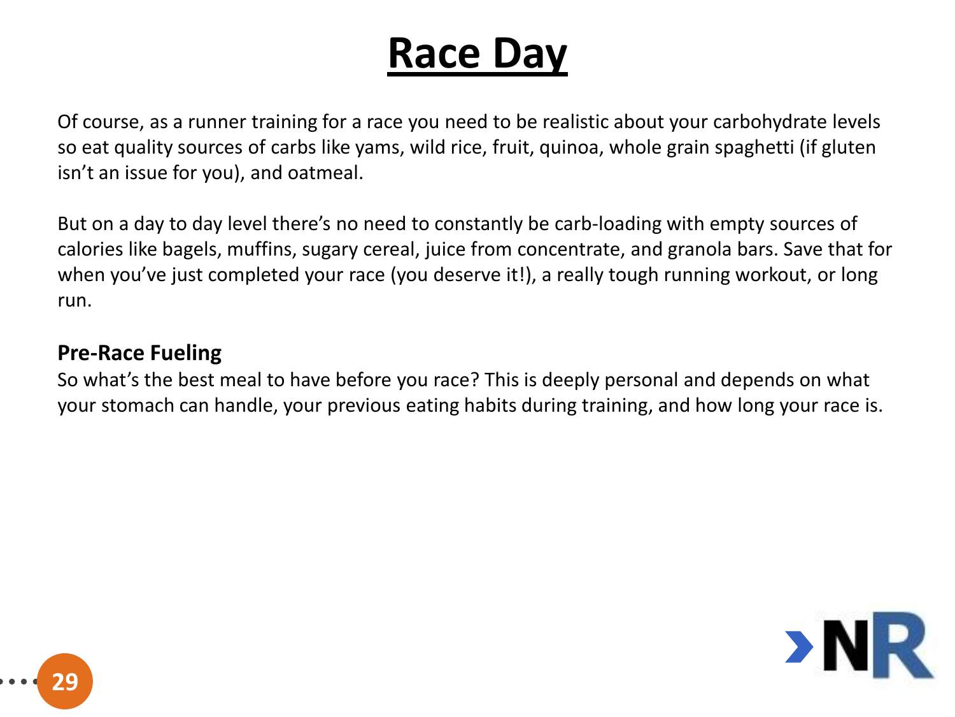Of course, as a runner training for a race you need to be realistic about your carbohydrate levels so eat quality sources of carbs like yams, wild rice, fruit, quinoa, whole grain spaghetti (if gluten isn't an issue for you), and oatmeal.

But on a day to day level there's no need to constantly be carb-loading with empty sources of calories like bagels, muffins, sugary cereal, juice from concentrate, and granola bars. Save that for when you've just completed your race (you deserve it!), a really tough running workout, or long run.

#### **Pre-Race Fueling**

So what's the best meal to have before you race? This is deeply personal and depends on what your stomach can handle, your previous eating habits during training, and how long your race is.



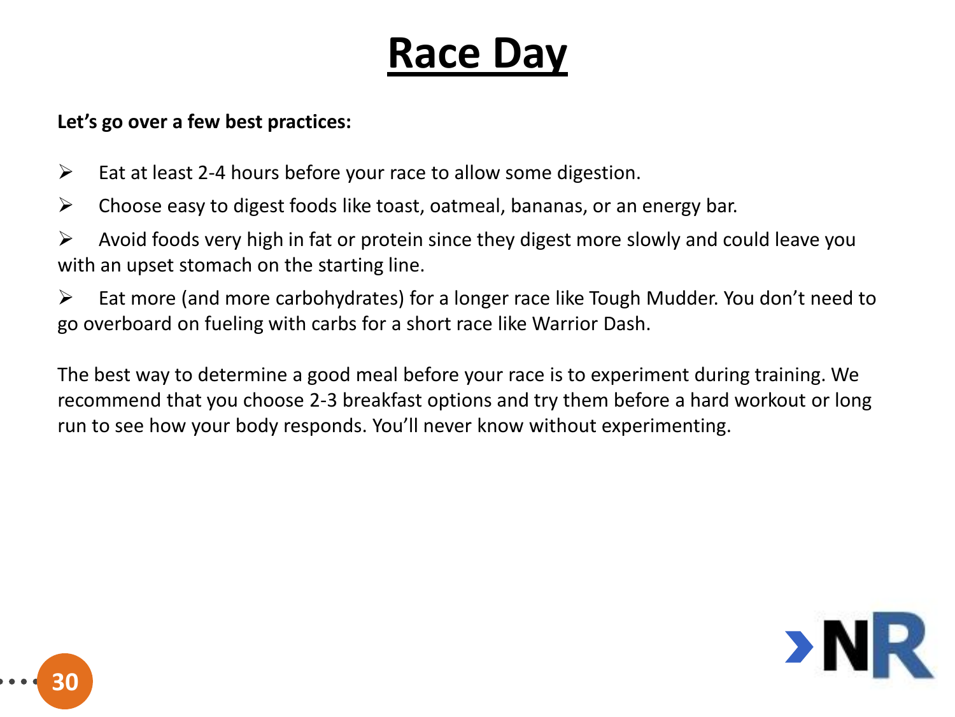#### **Let's go over a few best practices:**

- $\triangleright$  Eat at least 2-4 hours before your race to allow some digestion.
- $\triangleright$  Choose easy to digest foods like toast, oatmeal, bananas, or an energy bar.
- $\triangleright$  Avoid foods very high in fat or protein since they digest more slowly and could leave you with an upset stomach on the starting line.
- $\triangleright$  Eat more (and more carbohydrates) for a longer race like Tough Mudder. You don't need to go overboard on fueling with carbs for a short race like Warrior Dash.

The best way to determine a good meal before your race is to experiment during training. We recommend that you choose 2-3 breakfast options and try them before a hard workout or long run to see how your body responds. You'll never know without experimenting.



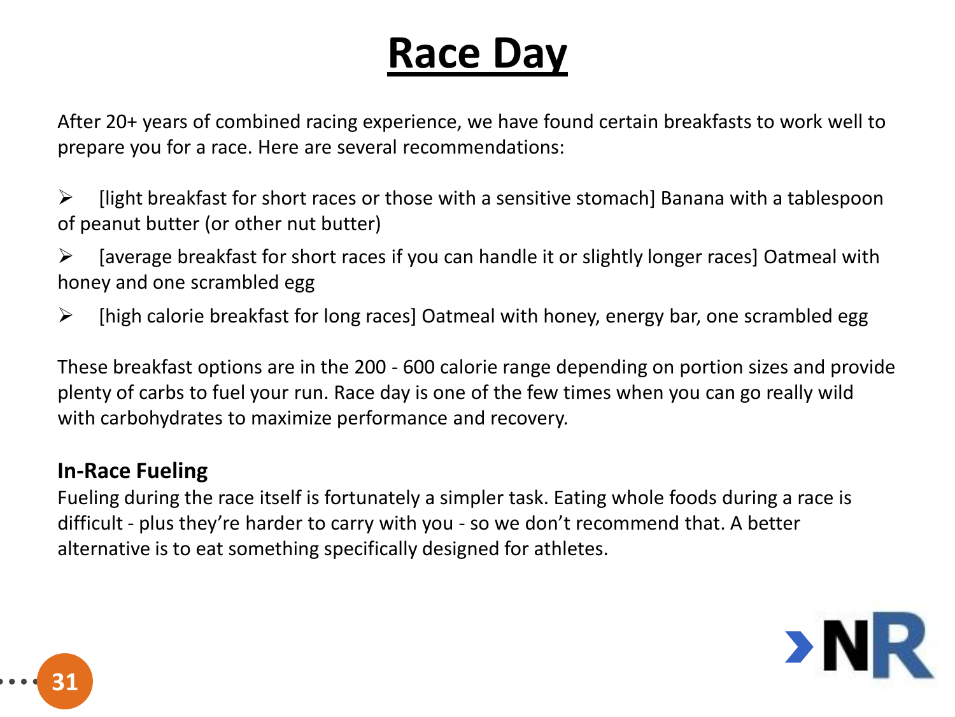After 20+ years of combined racing experience, we have found certain breakfasts to work well to prepare you for a race. Here are several recommendations:

 $\triangleright$  [light breakfast for short races or those with a sensitive stomach] Banana with a tablespoon of peanut butter (or other nut butter)

 $\triangleright$  [average breakfast for short races if you can handle it or slightly longer races] Oatmeal with honey and one scrambled egg

 $\triangleright$  [high calorie breakfast for long races] Oatmeal with honey, energy bar, one scrambled egg

These breakfast options are in the 200 - 600 calorie range depending on portion sizes and provide plenty of carbs to fuel your run. Race day is one of the few times when you can go really wild with carbohydrates to maximize performance and recovery.

#### **In-Race Fueling**

Fueling during the race itself is fortunately a simpler task. Eating whole foods during a race is difficult - plus they're harder to carry with you - so we don't recommend that. A better alternative is to eat something specifically designed for athletes.



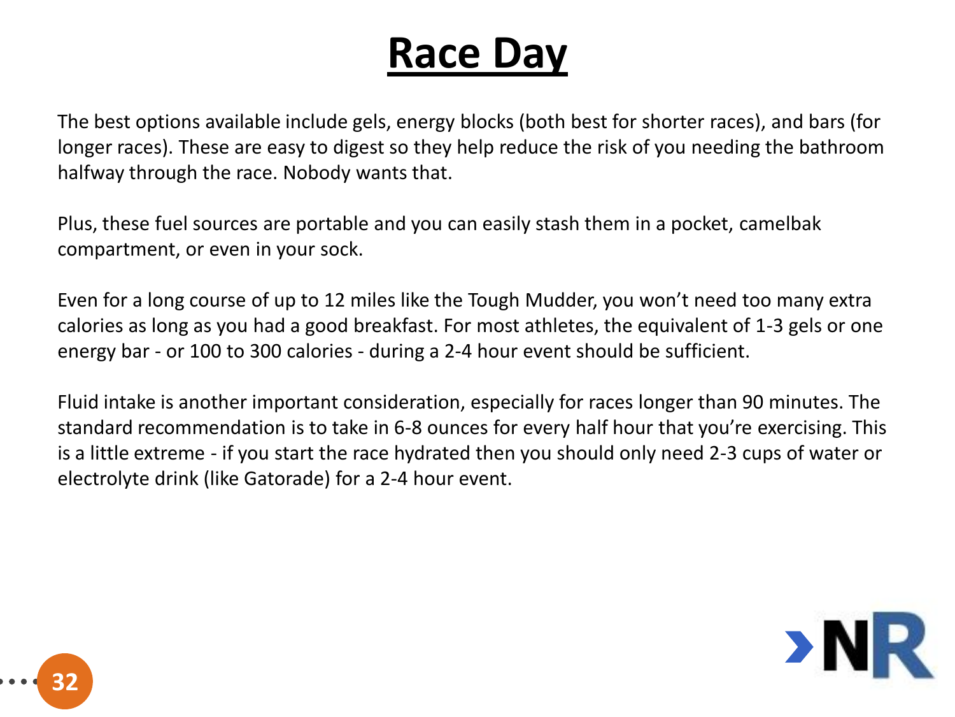The best options available include gels, energy blocks (both best for shorter races), and bars (for longer races). These are easy to digest so they help reduce the risk of you needing the bathroom halfway through the race. Nobody wants that.

Plus, these fuel sources are portable and you can easily stash them in a pocket, camelbak compartment, or even in your sock.

Even for a long course of up to 12 miles like the Tough Mudder, you won't need too many extra calories as long as you had a good breakfast. For most athletes, the equivalent of 1-3 gels or one energy bar - or 100 to 300 calories - during a 2-4 hour event should be sufficient.

Fluid intake is another important consideration, especially for races longer than 90 minutes. The standard recommendation is to take in 6-8 ounces for every half hour that you're exercising. This is a little extreme - if you start the race hydrated then you should only need 2-3 cups of water or electrolyte drink (like Gatorade) for a 2-4 hour event.



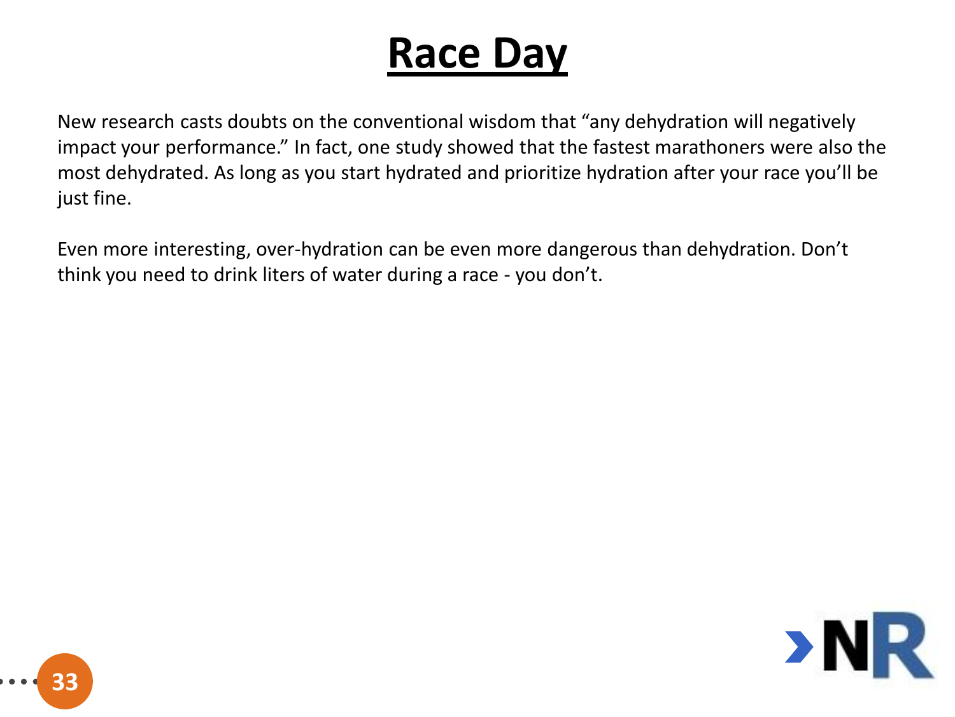New research casts doubts on the conventional wisdom that "any dehydration will negatively impact your performance." In fact, one study showed that the fastest marathoners were also the most dehydrated. As long as you start hydrated and prioritize hydration after your race you'll be just fine.

Even more interesting, over-hydration can be even more dangerous than dehydration. Don't think you need to drink liters of water during a race - you don't.



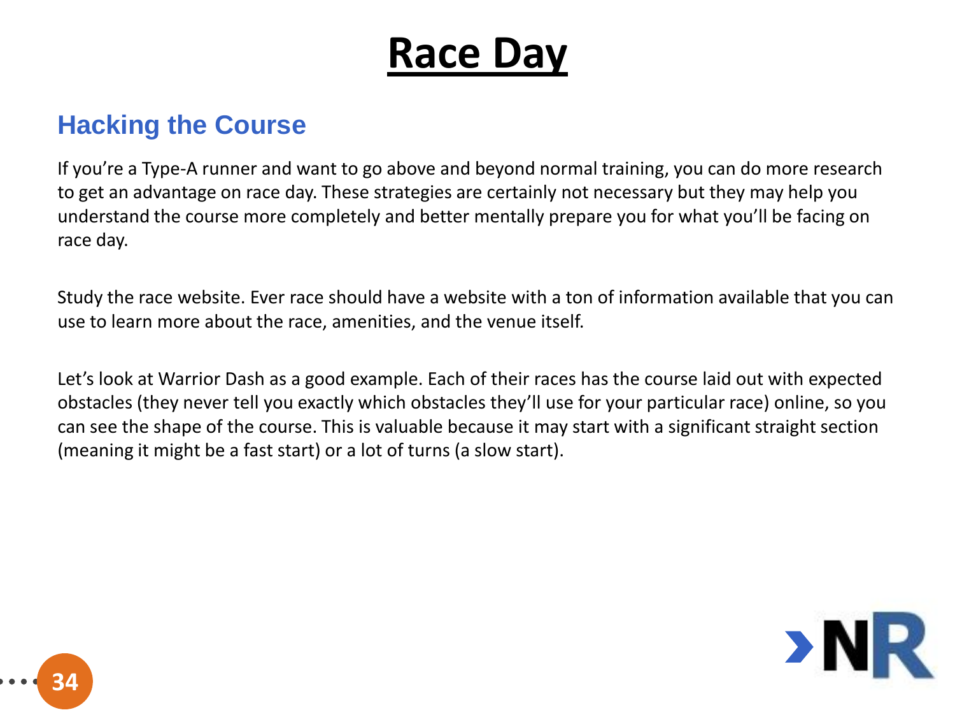#### **Hacking the Course**

If you're a Type-A runner and want to go above and beyond normal training, you can do more research to get an advantage on race day. These strategies are certainly not necessary but they may help you understand the course more completely and better mentally prepare you for what you'll be facing on race day.

Study the race website. Ever race should have a website with a ton of information available that you can use to learn more about the race, amenities, and the venue itself.

Let's look at Warrior Dash as a good example. Each of their races has the course laid out with expected obstacles (they never tell you exactly which obstacles they'll use for your particular race) online, so you can see the shape of the course. This is valuable because it may start with a significant straight section (meaning it might be a fast start) or a lot of turns (a slow start).



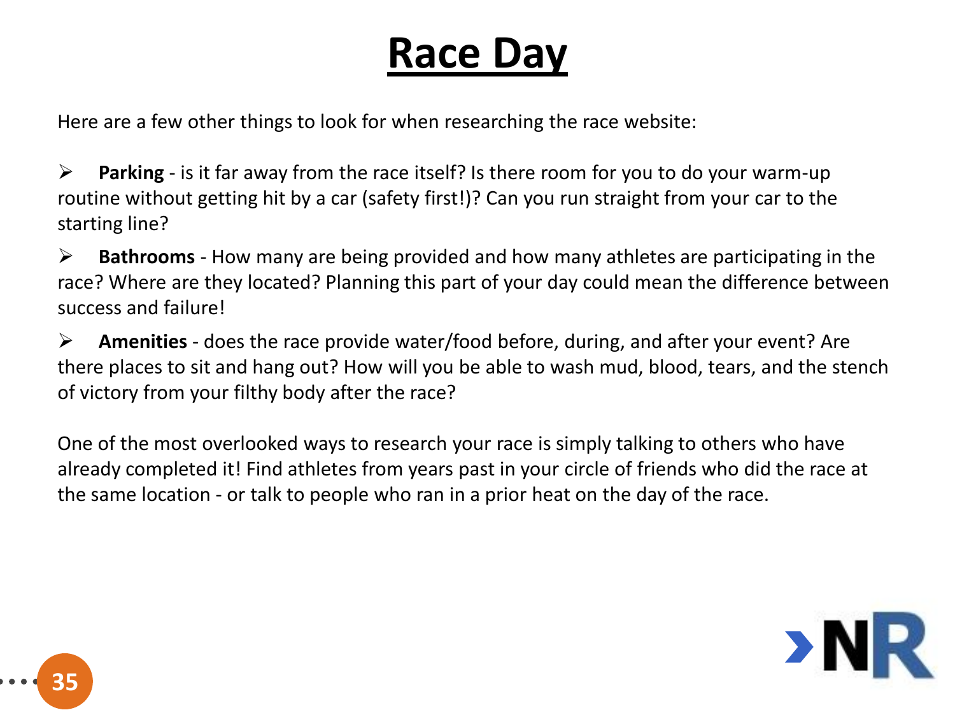Here are a few other things to look for when researching the race website:

 **Parking** - is it far away from the race itself? Is there room for you to do your warm-up routine without getting hit by a car (safety first!)? Can you run straight from your car to the starting line?

 **Bathrooms** - How many are being provided and how many athletes are participating in the race? Where are they located? Planning this part of your day could mean the difference between success and failure!

 **Amenities** - does the race provide water/food before, during, and after your event? Are there places to sit and hang out? How will you be able to wash mud, blood, tears, and the stench of victory from your filthy body after the race?

One of the most overlooked ways to research your race is simply talking to others who have already completed it! Find athletes from years past in your circle of friends who did the race at the same location - or talk to people who ran in a prior heat on the day of the race.



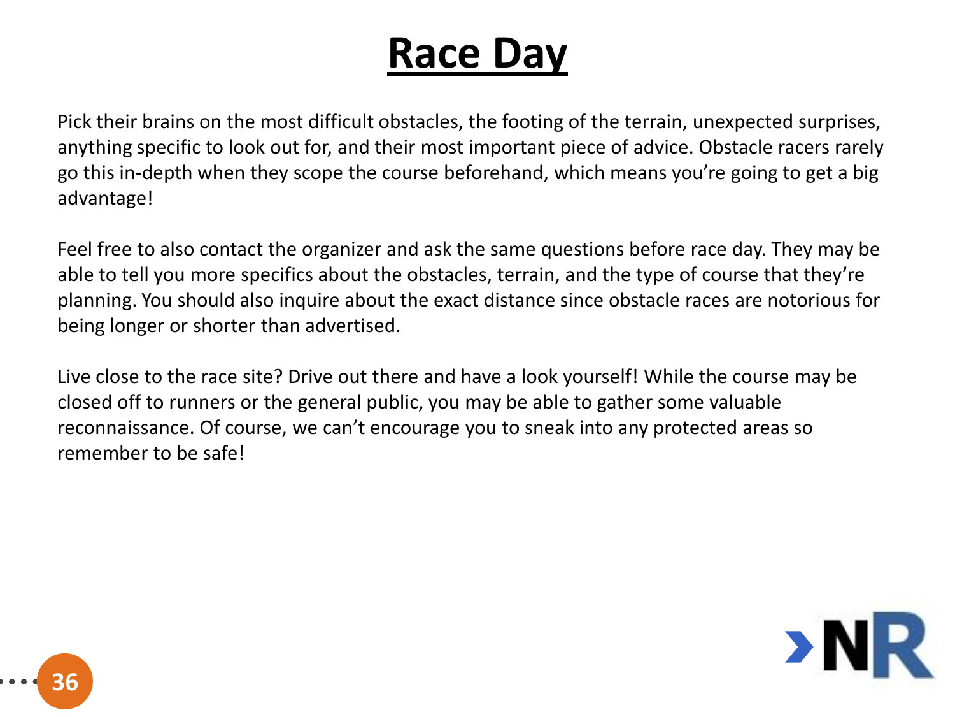Pick their brains on the most difficult obstacles, the footing of the terrain, unexpected surprises, anything specific to look out for, and their most important piece of advice. Obstacle racers rarely go this in-depth when they scope the course beforehand, which means you're going to get a big advantage!

Feel free to also contact the organizer and ask the same questions before race day. They may be able to tell you more specifics about the obstacles, terrain, and the type of course that they're planning. You should also inquire about the exact distance since obstacle races are notorious for being longer or shorter than advertised.

Live close to the race site? Drive out there and have a look yourself! While the course may be closed off to runners or the general public, you may be able to gather some valuable reconnaissance. Of course, we can't encourage you to sneak into any protected areas so remember to be safe!



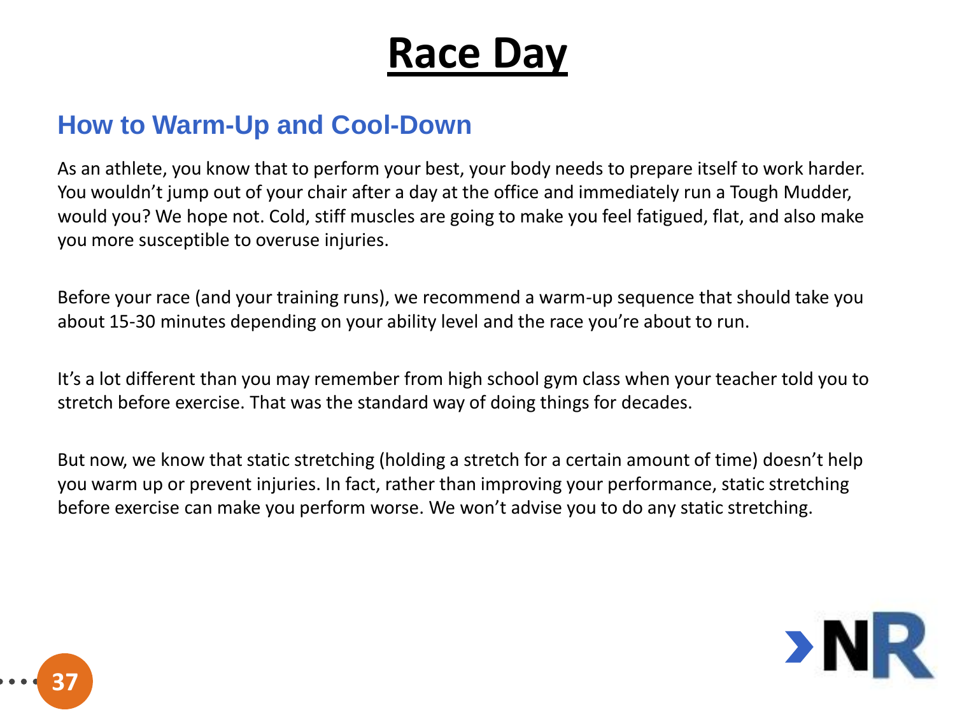#### **How to Warm-Up and Cool-Down**

As an athlete, you know that to perform your best, your body needs to prepare itself to work harder. You wouldn't jump out of your chair after a day at the office and immediately run a Tough Mudder, would you? We hope not. Cold, stiff muscles are going to make you feel fatigued, flat, and also make you more susceptible to overuse injuries.

Before your race (and your training runs), we recommend a warm-up sequence that should take you about 15-30 minutes depending on your ability level and the race you're about to run.

It's a lot different than you may remember from high school gym class when your teacher told you to stretch before exercise. That was the standard way of doing things for decades.

But now, we know that static stretching (holding a stretch for a certain amount of time) doesn't help you warm up or prevent injuries. In fact, rather than improving your performance, static stretching before exercise can make you perform worse. We won't advise you to do any static stretching.



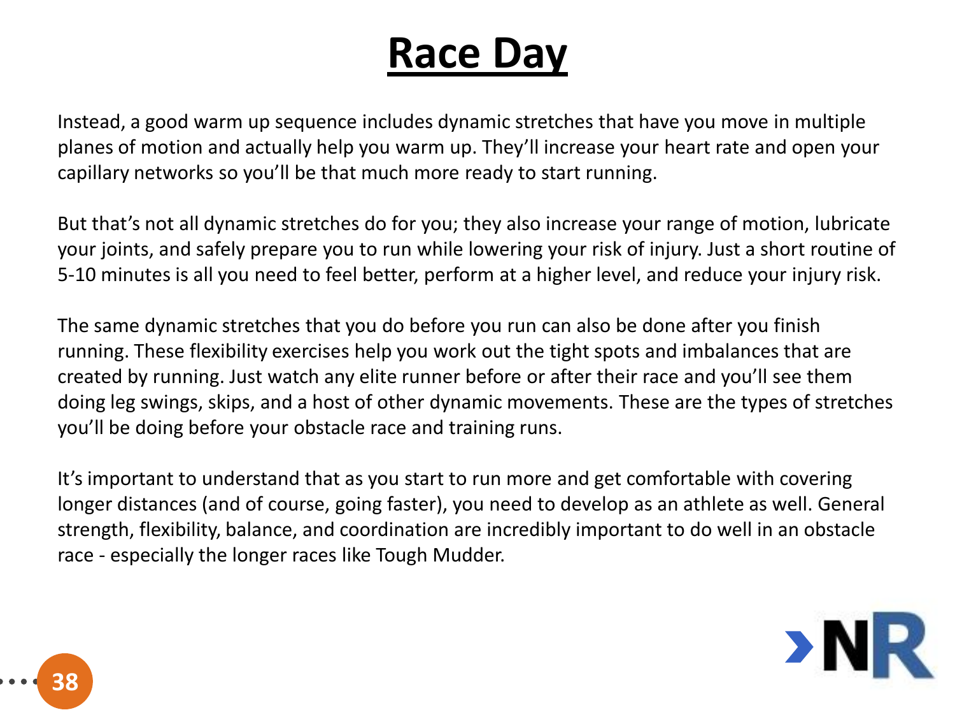Instead, a good warm up sequence includes dynamic stretches that have you move in multiple planes of motion and actually help you warm up. They'll increase your heart rate and open your capillary networks so you'll be that much more ready to start running.

But that's not all dynamic stretches do for you; they also increase your range of motion, lubricate your joints, and safely prepare you to run while lowering your risk of injury. Just a short routine of 5-10 minutes is all you need to feel better, perform at a higher level, and reduce your injury risk.

The same dynamic stretches that you do before you run can also be done after you finish running. These flexibility exercises help you work out the tight spots and imbalances that are created by running. Just watch any elite runner before or after their race and you'll see them doing leg swings, skips, and a host of other dynamic movements. These are the types of stretches you'll be doing before your obstacle race and training runs.

It's important to understand that as you start to run more and get comfortable with covering longer distances (and of course, going faster), you need to develop as an athlete as well. General strength, flexibility, balance, and coordination are incredibly important to do well in an obstacle race - especially the longer races like Tough Mudder.



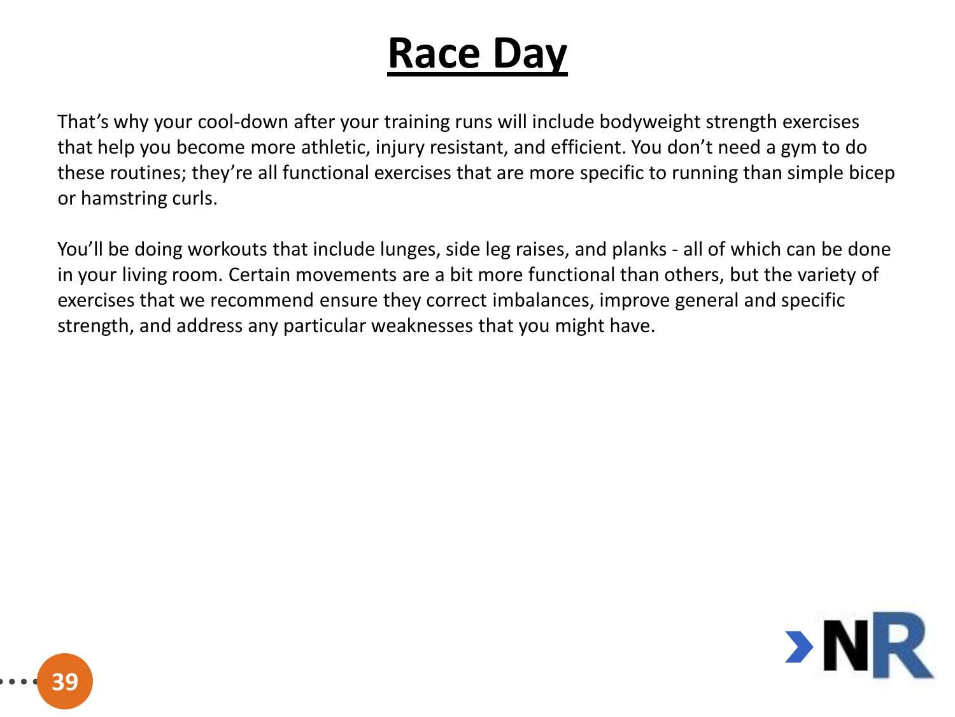That's why your cool-down after your training runs will include bodyweight strength exercises that help you become more athletic, injury resistant, and efficient. You don't need a gym to do these routines; they're all functional exercises that are more specific to running than simple bicep or hamstring curls.

You'll be doing workouts that include lunges, side leg raises, and planks - all of which can be done in your living room. Certain movements are a bit more functional than others, but the variety of exercises that we recommend ensure they correct imbalances, improve general and specific strength, and address any particular weaknesses that you might have.



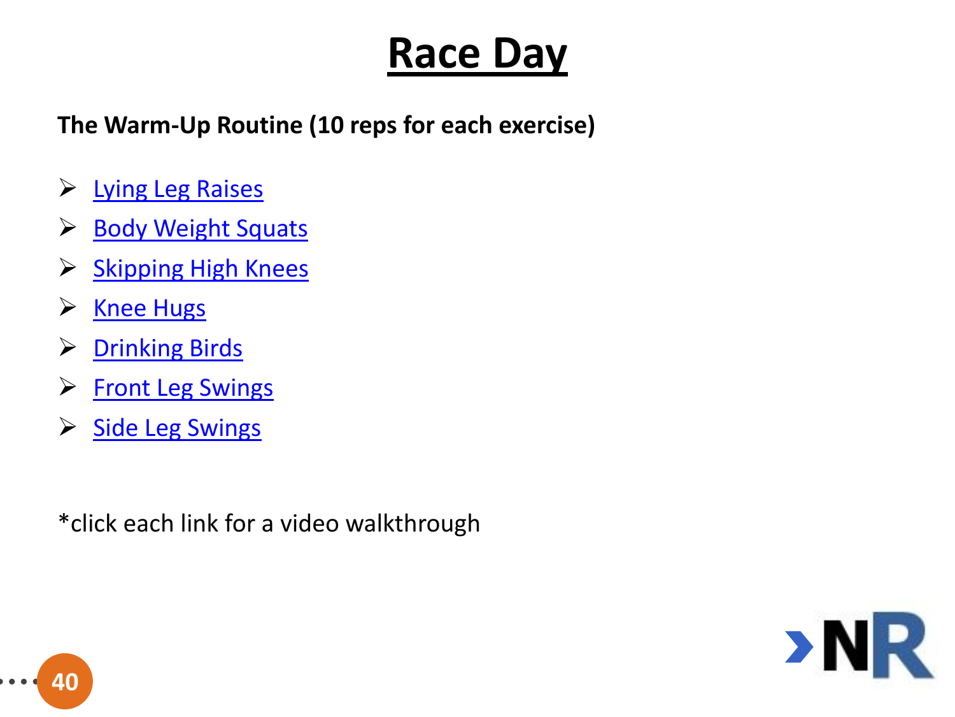**The Warm-Up Routine (10 reps for each exercise)**

- ▶ [Lying Leg Raises](http://youtu.be/zz7WtxCCoDM)
- ▶ [Body Weight Squats](http://youtu.be/T2Ha_9r0IlU)
- $\triangleright$  [Skipping High Knees](http://youtu.be/ZeNjLpgxAMk)
- ▶ [Knee Hugs](http://youtu.be/YkpCGdImS1Y)
- **▶ [Drinking Birds](http://youtu.be/9uAsXt0LzAY)**
- **► [Front Leg Swings](http://youtu.be/S3IFaIwUDu0)**
- [Side Leg Swings](http://youtu.be/7A2RIu9s3Hs)

\*click each link for a video walkthrough